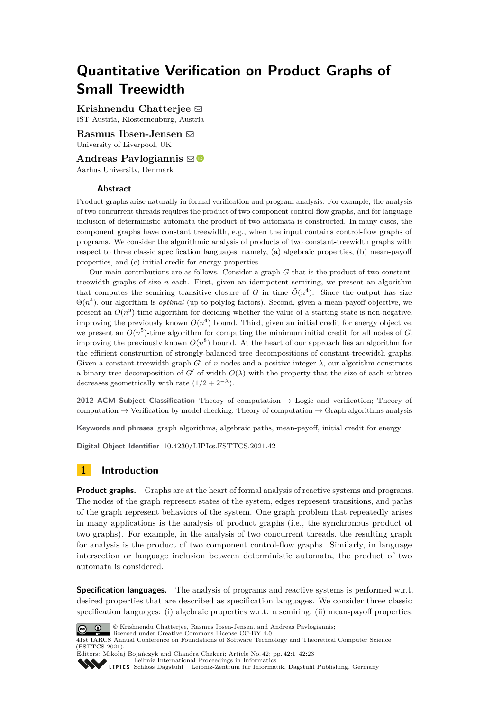# **Quantitative Verification on Product Graphs of Small Treewidth**

**Krishnendu Chatteriee**  $\boxtimes$ IST Austria, Klosterneuburg, Austria

**Rasmus Ibsen-Jensen** [#](mailto:R.Ibsen-Jensen@liverpool.ac.uk) University of Liverpool, UK

**Andreas Pavlogiannis**  $\boxtimes$  <sup>■</sup> Aarhus University, Denmark

## **Abstract**

Product graphs arise naturally in formal verification and program analysis. For example, the analysis of two concurrent threads requires the product of two component control-flow graphs, and for language inclusion of deterministic automata the product of two automata is constructed. In many cases, the component graphs have constant treewidth, e.g., when the input contains control-flow graphs of programs. We consider the algorithmic analysis of products of two constant-treewidth graphs with respect to three classic specification languages, namely, (a) algebraic properties, (b) mean-payoff properties, and (c) initial credit for energy properties.

Our main contributions are as follows. Consider a graph *G* that is the product of two constanttreewidth graphs of size *n* each. First, given an idempotent semiring, we present an algorithm that computes the semiring transitive closure of *G* in time  $\tilde{O}(n^4)$ . Since the output has size Θ(*n* 4 ), our algorithm is *optimal* (up to polylog factors). Second, given a mean-payoff objective, we present an  $O(n^3)$ -time algorithm for deciding whether the value of a starting state is non-negative, improving the previously known  $O(n^4)$  bound. Third, given an initial credit for energy objective, we present an  $O(n^5)$ -time algorithm for computing the minimum initial credit for all nodes of  $G$ , improving the previously known  $O(n^8)$  bound. At the heart of our approach lies an algorithm for the efficient construction of strongly-balanced tree decompositions of constant-treewidth graphs. Given a constant-treewidth graph  $G'$  of  $n$  nodes and a positive integer  $\lambda$ , our algorithm constructs a binary tree decomposition of  $G'$  of width  $O(\lambda)$  with the property that the size of each subtree decreases geometrically with rate  $(1/2 + 2^{-\lambda})$ .

**2012 ACM Subject Classification** Theory of computation → Logic and verification; Theory of computation  $\rightarrow$  Verification by model checking; Theory of computation  $\rightarrow$  Graph algorithms analysis

**Keywords and phrases** graph algorithms, algebraic paths, mean-payoff, initial credit for energy

**Digital Object Identifier** [10.4230/LIPIcs.FSTTCS.2021.42](https://doi.org/10.4230/LIPIcs.FSTTCS.2021.42)

# **1 Introduction**

**Product graphs.** Graphs are at the heart of formal analysis of reactive systems and programs. The nodes of the graph represent states of the system, edges represent transitions, and paths of the graph represent behaviors of the system. One graph problem that repeatedly arises in many applications is the analysis of product graphs (i.e., the synchronous product of two graphs). For example, in the analysis of two concurrent threads, the resulting graph for analysis is the product of two component control-flow graphs. Similarly, in language intersection or language inclusion between deterministic automata, the product of two automata is considered.

**Specification languages.** The analysis of programs and reactive systems is performed w.r.t. desired properties that are described as specification languages. We consider three classic specification languages: (i) algebraic properties w.r.t. a semiring, (ii) mean-payoff properties,



© Krishnendu Chatterjee, Rasmus Ibsen-Jensen, and Andreas Pavlogiannis;

licensed under Creative Commons License CC-BY 4.0 41st IARCS Annual Conference on Foundations of Software Technology and Theoretical Computer Science (FSTTCS 2021).

Editors: Mikołaj Bojańczyk and Chandra Chekuri; Article No. 42; pp. 42:1–42:23



[Leibniz International Proceedings in Informatics](https://www.dagstuhl.de/lipics/)

[Schloss Dagstuhl – Leibniz-Zentrum für Informatik, Dagstuhl Publishing, Germany](https://www.dagstuhl.de)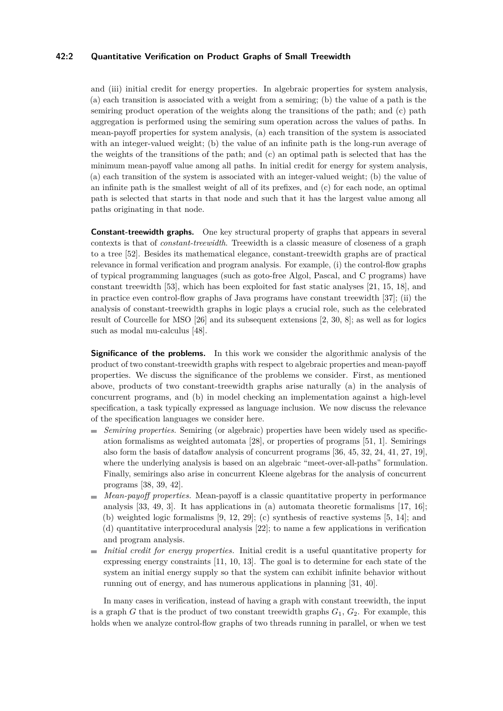## **42:2 Quantitative Verification on Product Graphs of Small Treewidth**

and (iii) initial credit for energy properties. In algebraic properties for system analysis, (a) each transition is associated with a weight from a semiring; (b) the value of a path is the semiring product operation of the weights along the transitions of the path; and (c) path aggregation is performed using the semiring sum operation across the values of paths. In mean-payoff properties for system analysis, (a) each transition of the system is associated with an integer-valued weight; (b) the value of an infinite path is the long-run average of the weights of the transitions of the path; and (c) an optimal path is selected that has the minimum mean-payoff value among all paths. In initial credit for energy for system analysis, (a) each transition of the system is associated with an integer-valued weight; (b) the value of an infinite path is the smallest weight of all of its prefixes, and (c) for each node, an optimal path is selected that starts in that node and such that it has the largest value among all paths originating in that node.

**Constant-treewidth graphs.** One key structural property of graphs that appears in several contexts is that of *constant-treewidth*. Treewidth is a classic measure of closeness of a graph to a tree [\[52\]](#page-19-0). Besides its mathematical elegance, constant-treewidth graphs are of practical relevance in formal verification and program analysis. For example, (i) the control-flow graphs of typical programming languages (such as goto-free Algol, Pascal, and C programs) have constant treewidth [\[53\]](#page-19-1), which has been exploited for fast static analyses [\[21,](#page-17-0) [15,](#page-17-1) [18\]](#page-17-2), and in practice even control-flow graphs of Java programs have constant treewidth [\[37\]](#page-18-0); (ii) the analysis of constant-treewidth graphs in logic plays a crucial role, such as the celebrated result of Courcelle for MSO [\[26\]](#page-17-3) and its subsequent extensions [\[2,](#page-16-0) [30,](#page-17-4) [8\]](#page-16-1); as well as for logics such as modal mu-calculus [\[48\]](#page-18-1).

**Significance of the problems.** In this work we consider the algorithmic analysis of the product of two constant-treewidth graphs with respect to algebraic properties and mean-payoff properties. We discuss the significance of the problems we consider. First, as mentioned above, products of two constant-treewidth graphs arise naturally (a) in the analysis of concurrent programs, and (b) in model checking an implementation against a high-level specification, a task typically expressed as language inclusion. We now discuss the relevance of the specification languages we consider here.

- *Semiring properties.* Semiring (or algebraic) properties have been widely used as specification formalisms as weighted automata [\[28\]](#page-17-5), or properties of programs [\[51,](#page-19-2) [1\]](#page-16-2). Semirings also form the basis of dataflow analysis of concurrent programs [\[36,](#page-18-2) [45,](#page-18-3) [32,](#page-18-4) [24,](#page-17-6) [41,](#page-18-5) [27,](#page-17-7) [19\]](#page-17-8), where the underlying analysis is based on an algebraic "meet-over-all-paths" formulation. Finally, semirings also arise in concurrent Kleene algebras for the analysis of concurrent programs [\[38,](#page-18-6) [39,](#page-18-7) [42\]](#page-18-8).
- *Mean-payoff properties.* Mean-payoff is a classic quantitative property in performance analysis [\[33,](#page-18-9) [49,](#page-18-10) [3\]](#page-16-3). It has applications in (a) automata theoretic formalisms [\[17,](#page-17-9) [16\]](#page-17-10); (b) weighted logic formalisms [\[9,](#page-16-4) [12,](#page-17-11) [29\]](#page-17-12); (c) synthesis of reactive systems [\[5,](#page-16-5) [14\]](#page-17-13); and (d) quantitative interprocedural analysis [\[22\]](#page-17-14); to name a few applications in verification and program analysis.
- *Initial credit for energy properties.* Initial credit is a useful quantitative property for expressing energy constraints [\[11,](#page-16-6) [10,](#page-16-7) [13\]](#page-17-15). The goal is to determine for each state of the system an initial energy supply so that the system can exhibit infinite behavior without running out of energy, and has numerous applications in planning [\[31,](#page-18-11) [40\]](#page-18-12).

In many cases in verification, instead of having a graph with constant treewidth, the input is a graph *G* that is the product of two constant treewidth graphs  $G_1$ ,  $G_2$ . For example, this holds when we analyze control-flow graphs of two threads running in parallel, or when we test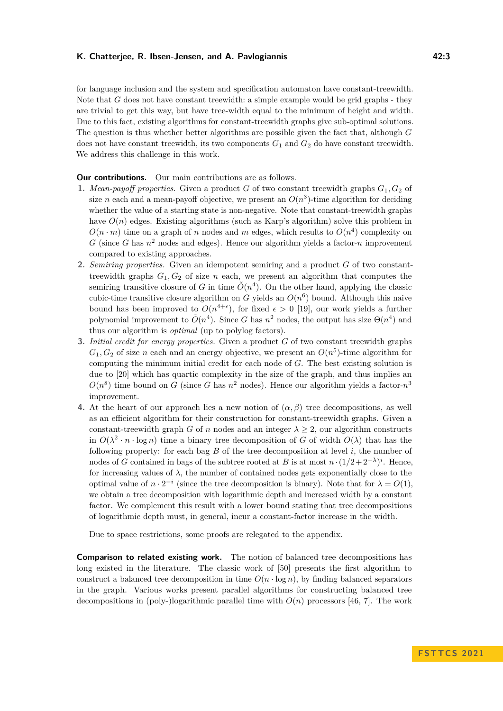for language inclusion and the system and specification automaton have constant-treewidth. Note that *G* does not have constant treewidth: a simple example would be grid graphs - they are trivial to get this way, but have tree-width equal to the minimum of height and width. Due to this fact, existing algorithms for constant-treewidth graphs give sub-optimal solutions. The question is thus whether better algorithms are possible given the fact that, although *G* does not have constant treewidth, its two components  $G_1$  and  $G_2$  do have constant treewidth. We address this challenge in this work.

## **Our contributions.** Our main contributions are as follows.

- **1.** *Mean-payoff properties.* Given a product *G* of two constant treewidth graphs *G*1*, G*<sup>2</sup> of size *n* each and a mean-payoff objective, we present an  $O(n^3)$ -time algorithm for deciding whether the value of a starting state is non-negative. Note that constant-treewidth graphs have  $O(n)$  edges. Existing algorithms (such as Karp's algorithm) solve this problem in  $O(n \cdot m)$  time on a graph of *n* nodes and *m* edges, which results to  $O(n^4)$  complexity on  $G$  (since  $G$  has  $n^2$  nodes and edges). Hence our algorithm yields a factor- $n$  improvement compared to existing approaches.
- **2.** *Semiring properties.* Given an idempotent semiring and a product *G* of two constanttreewidth graphs  $G_1, G_2$  of size *n* each, we present an algorithm that computes the semiring transitive closure of *G* in time  $\tilde{O}(n^4)$ . On the other hand, applying the classic cubic-time transitive closure algorithm on *G* yields an  $O(n^6)$  bound. Although this naive bound has been improved to  $O(n^{4+\epsilon})$ , for fixed  $\epsilon > 0$  [\[19\]](#page-17-8), our work yields a further polynomial improvement to  $\tilde{O}(n^4)$ . Since *G* has  $n^2$  nodes, the output has size  $\Theta(n^4)$  and thus our algorithm is *optimal* (up to polylog factors).
- **3.** *Initial credit for energy properties.* Given a product *G* of two constant treewidth graphs  $G_1, G_2$  of size *n* each and an energy objective, we present an  $O(n^5)$ -time algorithm for computing the minimum initial credit for each node of *G*. The best existing solution is due to [\[20\]](#page-17-16) which has quartic complexity in the size of the graph, and thus implies an  $O(n^8)$  time bound on *G* (since *G* has  $n^2$  nodes). Hence our algorithm yields a factor- $n^3$ improvement.
- **4.** At the heart of our approach lies a new notion of  $(\alpha, \beta)$  tree decompositions, as well as an efficient algorithm for their construction for constant-treewidth graphs. Given a constant-treewidth graph *G* of *n* nodes and an integer  $\lambda \geq 2$ , our algorithm constructs in  $O(\lambda^2 \cdot n \cdot \log n)$  time a binary tree decomposition of *G* of width  $O(\lambda)$  that has the following property: for each bag  $B$  of the tree decomposition at level  $i$ , the number of nodes of *G* contained in bags of the subtree rooted at *B* is at most  $n \cdot (1/2 + 2^{-\lambda})^i$ . Hence, for increasing values of  $\lambda$ , the number of contained nodes gets exponentially close to the optimal value of  $n \cdot 2^{-i}$  (since the tree decomposition is binary). Note that for  $\lambda = O(1)$ , we obtain a tree decomposition with logarithmic depth and increased width by a constant factor. We complement this result with a lower bound stating that tree decompositions of logarithmic depth must, in general, incur a constant-factor increase in the width.

Due to space restrictions, some proofs are relegated to the appendix.

**Comparison to related existing work.** The notion of balanced tree decompositions has long existed in the literature. The classic work of [\[50\]](#page-18-13) presents the first algorithm to construct a balanced tree decomposition in time  $O(n \cdot \log n)$ , by finding balanced separators in the graph. Various works present parallel algorithms for constructing balanced tree decompositions in (poly-)logarithmic parallel time with  $O(n)$  processors [\[46,](#page-18-14) [7\]](#page-16-8). The work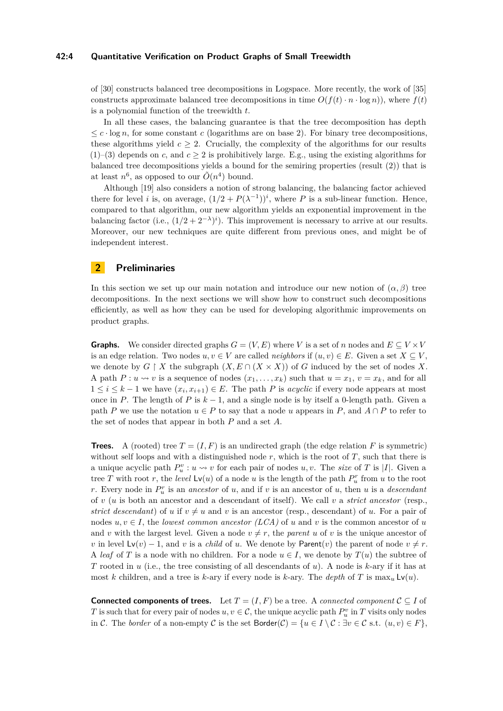#### **42:4 Quantitative Verification on Product Graphs of Small Treewidth**

of [\[30\]](#page-17-4) constructs balanced tree decompositions in Logspace. More recently, the work of [\[35\]](#page-18-15) constructs approximate balanced tree decompositions in time  $O(f(t) \cdot n \cdot \log n)$ , where  $f(t)$ is a polynomial function of the treewidth *t*.

In all these cases, the balancing guarantee is that the tree decomposition has depth  $\leq c \cdot \log n$ , for some constant *c* (logarithms are on base 2). For binary tree decompositions, these algorithms yield  $c > 2$ . Crucially, the complexity of the algorithms for our results  $(1)$ –(3) depends on *c*, and  $c \ge 2$  is prohibitively large. E.g., using the existing algorithms for balanced tree decompositions yields a bound for the semiring properties (result (2)) that is at least  $n^6$ , as opposed to our  $\tilde{O}(n^4)$  bound.

Although [\[19\]](#page-17-8) also considers a notion of strong balancing, the balancing factor achieved there for level *i* is, on average,  $(1/2 + P(\lambda^{-1}))^i$ , where *P* is a sub-linear function. Hence, compared to that algorithm, our new algorithm yields an exponential improvement in the balancing factor (i.e.,  $(1/2 + 2^{-\lambda})^i$ ). This improvement is necessary to arrive at our results. Moreover, our new techniques are quite different from previous ones, and might be of independent interest.

## **2 Preliminaries**

In this section we set up our main notation and introduce our new notion of  $(\alpha, \beta)$  tree decompositions. In the next sections we will show how to construct such decompositions efficiently, as well as how they can be used for developing algorithmic improvements on product graphs.

**Graphs.** We consider directed graphs  $G = (V, E)$  where *V* is a set of *n* nodes and  $E \subseteq V \times V$ is an edge relation. Two nodes  $u, v \in V$  are called *neighbors* if  $(u, v) \in E$ . Given a set  $X \subseteq V$ , we denote by  $G \restriction X$  the subgraph  $(X, E \cap (X \times X))$  of *G* induced by the set of nodes X. A path  $P: u \rightsquigarrow v$  is a sequence of nodes  $(x_1, \ldots, x_k)$  such that  $u = x_1, v = x_k$ , and for all  $1 ≤ i ≤ k - 1$  we have  $(x_i, x_{i+1}) ∈ E$ . The path *P* is *acyclic* if every node appears at most once in *P*. The length of *P* is  $k - 1$ , and a single node is by itself a 0-length path. Given a path *P* we use the notation  $u \in P$  to say that a node *u* appears in *P*, and  $A \cap P$  to refer to the set of nodes that appear in both *P* and a set *A*.

**Trees.** A (rooted) tree  $T = (I, F)$  is an undirected graph (the edge relation F is symmetric) without self loops and with a distinguished node *r*, which is the root of *T*, such that there is a unique acyclic path  $P_u^v: u \leadsto v$  for each pair of nodes *u, v*. The *size* of *T* is |*I*|. Given a tree *T* with root *r*, the *level*  $\textsf{Lv}(u)$  of a node *u* is the length of the path  $P_u^r$  from *u* to the root *r*. Every node in *P r u* is an *ancestor* of *u*, and if *v* is an ancestor of *u*, then *u* is a *descendant* of *v* (*u* is both an ancestor and a descendant of itself). We call *v* a *strict ancestor* (resp., *strict descendant*) of *u* if  $v \neq u$  and *v* is an ancestor (resp., descendant) of *u*. For a pair of nodes  $u, v \in I$ , the *lowest common ancestor* (*LCA*) of *u* and *v* is the common ancestor of *u* and *v* with the largest level. Given a node  $v \neq r$ , the *parent u* of *v* is the unique ancestor of *v* in level  $Lv(v) - 1$ , and *v* is a *child* of *u*. We denote by Parent $(v)$  the parent of node  $v \neq r$ . A *leaf* of *T* is a node with no children. For a node  $u \in I$ , we denote by  $T(u)$  the subtree of *T* rooted in *u* (i.e., the tree consisting of all descendants of *u*). A node is *k*-ary if it has at most *k* children, and a tree is *k*-ary if every node is *k*-ary. The *depth* of *T* is  $\max_u \mathsf{Lv}(u)$ .

**Connected components of trees.** Let  $T = (I, F)$  be a tree. A *connected component*  $C \subseteq I$  of *T* is such that for every pair of nodes  $u, v \in \mathcal{C}$ , the unique acyclic path  $P_u^v$  in *T* visits only nodes in C. The *border* of a non-empty C is the set  $\text{Border}(\mathcal{C}) = \{u \in I \setminus \mathcal{C} : \exists v \in \mathcal{C} \text{ s.t. } (u, v) \in F\},\$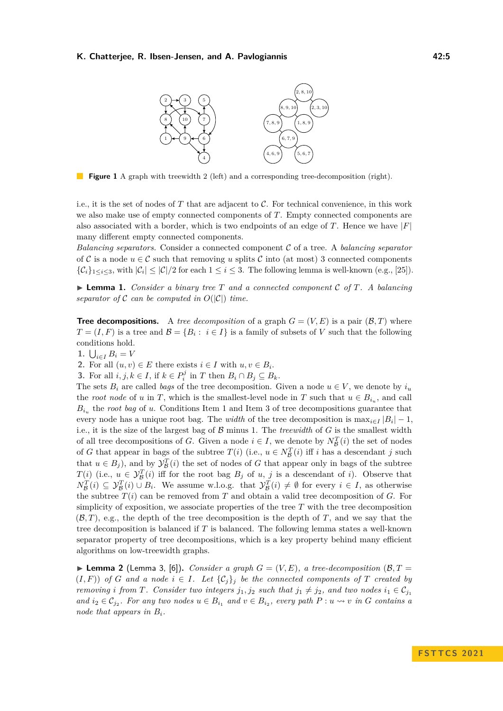

**Figure 1** A graph with treewidth 2 (left) and a corresponding tree-decomposition (right).

i.e., it is the set of nodes of *T* that are adjacent to C. For technical convenience, in this work we also make use of empty connected components of *T*. Empty connected components are also associated with a border, which is two endpoints of an edge of  $T$ . Hence we have  $|F|$ many different empty connected components.

*Balancing separators.* Consider a connected component C of a tree. A *balancing separator* of C is a node  $u \in \mathcal{C}$  such that removing *u* splits C into (at most) 3 connected components  $\{\mathcal{C}_i\}_{1\leq i\leq 3}$ , with  $|\mathcal{C}_i| \leq |\mathcal{C}|/2$  for each  $1 \leq i \leq 3$ . The following lemma is well-known (e.g., [\[25\]](#page-17-17)).

<span id="page-4-2"></span> $\blacktriangleright$  **Lemma 1.** *Consider a binary tree T and a connected component C of T. A balancing separator of*  $\mathcal C$  *can be computed in*  $O(|\mathcal C|)$  *time.* 

**Tree decompositions.** A *tree decomposition* of a graph  $G = (V, E)$  is a pair  $(\mathcal{B}, T)$  where  $T = (I, F)$  is a tree and  $\mathcal{B} = \{B_i : i \in I\}$  is a family of subsets of *V* such that the following conditions hold.

<span id="page-4-0"></span>**1.**  $\bigcup_{i \in I} B_i = V$ 

<span id="page-4-4"></span>2. For all  $(u, v) \in E$  there exists  $i \in I$  with  $u, v \in B_i$ .

<span id="page-4-1"></span>**3.** For all  $i, j, k \in I$ , if  $k \in P_i^j$  in *T* then  $B_i \cap B_j \subseteq B_k$ .

The sets  $B_i$  are called *bags* of the tree decomposition. Given a node  $u \in V$ , we denote by  $i_u$ the *root node* of *u* in *T*, which is the smallest-level node in *T* such that  $u \in B_{i_u}$ , and call  $B_i$ <sup>u</sup> the *root bag* of *u*. Conditions Item [1](#page-4-0) and Item [3](#page-4-1) of tree decompositions guarantee that every node has a unique root bag. The *width* of the tree decomposition is  $\max_{i \in I} |B_i| - 1$ , i.e., it is the size of the largest bag of B minus 1. The *treewidth* of *G* is the smallest width of all tree decompositions of *G*. Given a node  $i \in I$ , we denote by  $N_{\mathcal{B}}^T(i)$  the set of nodes of *G* that appear in bags of the subtree  $T(i)$  (i.e.,  $u \in N_{\mathcal{B}}^T(i)$  iff *i* has a descendant *j* such that  $u \in B_j$ ), and by  $\mathcal{Y}_{\mathcal{B}}^T(i)$  the set of nodes of *G* that appear only in bags of the subtree *T*(*i*) (i.e.,  $u \in \mathcal{Y}_{\mathcal{B}}^T(i)$  iff for the root bag  $B_j$  of *u*, *j* is a descendant of *i*). Observe that  $N_{\mathcal{B}}^T(i) \subseteq \mathcal{Y}_{\mathcal{B}}^T(i) \cup B_i$ . We assume w.l.o.g. that  $\mathcal{Y}_{\mathcal{B}}^T(i) \neq \emptyset$  for every  $i \in I$ , as otherwise the subtree  $T(i)$  can be removed from  $T$  and obtain a valid tree decomposition of  $G$ . For simplicity of exposition, we associate properties of the tree *T* with the tree decomposition (B*, T*), e.g., the depth of the tree decomposition is the depth of *T*, and we say that the tree decomposition is balanced if *T* is balanced. The following lemma states a well-known separator property of tree decompositions, which is a key property behind many efficient algorithms on low-treewidth graphs.

<span id="page-4-3"></span> $\blacktriangleright$  **Lemma 2** (Lemma 3, [\[6\]](#page-16-9)). *Consider a graph*  $G = (V, E)$ , a tree-decomposition (B, T =  $(I, F)$  *of G and a node*  $i \in I$ *. Let*  $\{C_j\}_j$  *be the connected components of T created by removing i from T.* Consider two integers  $j_1, j_2$  *such that*  $j_1 \neq j_2$ *, and two nodes*  $i_1 \in C_{j_1}$ *and*  $i_2 \in C_{j_2}$ . For any two nodes  $u \in B_{i_1}$  and  $v \in B_{i_2}$ , every path  $P : u \rightsquigarrow v$  in *G* contains a *node that appears in Bi.*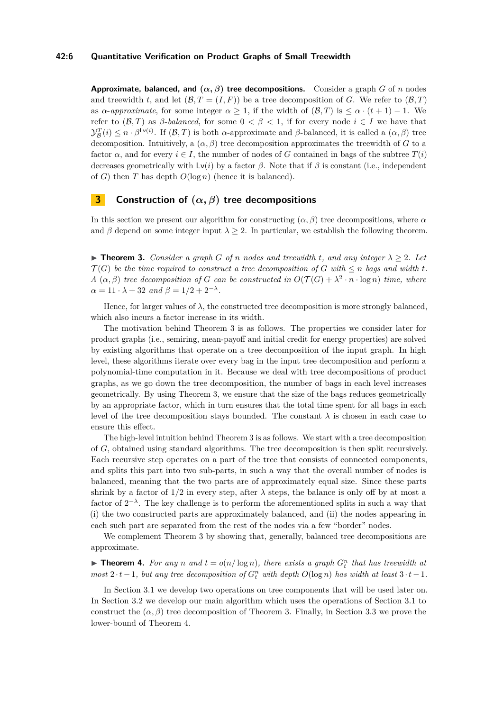## **42:6 Quantitative Verification on Product Graphs of Small Treewidth**

**Approximate, balanced, and**  $(\alpha, \beta)$  **tree decompositions.** Consider a graph *G* of *n* nodes and treewidth *t*, and let  $(\mathcal{B}, T = (I, F))$  be a tree decomposition of *G*. We refer to  $(\mathcal{B}, T)$ as *α*-*approximate*, for some integer  $\alpha > 1$ , if the width of  $(\mathcal{B}, T)$  is  $\leq \alpha \cdot (t + 1) - 1$ . We refer to  $(\mathcal{B}, T)$  as *β*-*balanced*, for some  $0 < \beta < 1$ , if for every node  $i \in I$  we have that  $\mathcal{Y}_{\mathcal{B}}^T(i) \leq n \cdot \beta^{\mathsf{Lv}(i)}$ . If  $(\mathcal{B}, T)$  is both *α*-approximate and *β*-balanced, it is called a  $(\alpha, \beta)$  tree decomposition. Intuitively, a  $(\alpha, \beta)$  tree decomposition approximates the treewidth of *G* to a factor  $\alpha$ , and for every  $i \in I$ , the number of nodes of *G* contained in bags of the subtree  $T(i)$ decreases geometrically with  $\mathsf{Lv}(i)$  by a factor  $\beta$ . Note that if  $\beta$  is constant (i.e., independent of *G*) then *T* has depth *O*(log *n*) (hence it is balanced).

# <span id="page-5-2"></span>**3 Construction of (***α, β***) tree decompositions**

In this section we present our algorithm for constructing  $(\alpha, \beta)$  tree decompositions, where  $\alpha$ and  $\beta$  depend on some integer input  $\lambda \geq 2$ . In particular, we establish the following theorem.

<span id="page-5-0"></span> $\triangleright$  **Theorem 3.** *Consider a graph G of n nodes and treewidth t, and any integer*  $\lambda \geq 2$ *. Let*  $\mathcal{T}(G)$  be the time required to construct a tree decomposition of G with  $\leq n$  bags and width  $t$ . *A*  $(\alpha, \beta)$  *tree decomposition of G can be constructed in*  $O(\mathcal{T}(G) + \lambda^2 \cdot n \cdot \log n)$  *time, where*  $\alpha = 11 \cdot \lambda + 32 \text{ and } \beta = 1/2 + 2^{-\lambda}.$ 

Hence, for larger values of  $\lambda$ , the constructed tree decomposition is more strongly balanced, which also incurs a factor increase in its width.

The motivation behind Theorem [3](#page-5-0) is as follows. The properties we consider later for product graphs (i.e., semiring, mean-payoff and initial credit for energy properties) are solved by existing algorithms that operate on a tree decomposition of the input graph. In high level, these algorithms iterate over every bag in the input tree decomposition and perform a polynomial-time computation in it. Because we deal with tree decompositions of product graphs, as we go down the tree decomposition, the number of bags in each level increases geometrically. By using Theorem [3,](#page-5-0) we ensure that the size of the bags reduces geometrically by an appropriate factor, which in turn ensures that the total time spent for all bags in each level of the tree decomposition stays bounded. The constant  $\lambda$  is chosen in each case to ensure this effect.

The high-level intuition behind Theorem [3](#page-5-0) is as follows. We start with a tree decomposition of *G*, obtained using standard algorithms. The tree decomposition is then split recursively. Each recursive step operates on a part of the tree that consists of connected components, and splits this part into two sub-parts, in such a way that the overall number of nodes is balanced, meaning that the two parts are of approximately equal size. Since these parts shrink by a factor of  $1/2$  in every step, after  $\lambda$  steps, the balance is only off by at most a factor of  $2^{-\lambda}$ . The key challenge is to perform the aforementioned splits in such a way that (i) the two constructed parts are approximately balanced, and (ii) the nodes appearing in each such part are separated from the rest of the nodes via a few "border" nodes.

We complement Theorem [3](#page-5-0) by showing that, generally, balanced tree decompositions are approximate.

<span id="page-5-1"></span> $\blacktriangleright$  **Theorem 4.** For any *n* and  $t = o(n/\log n)$ , there exists a graph  $G_t^n$  that has treewidth at  $m$ ost  $2 \cdot t - 1$ , but any tree decomposition of  $G_t^n$  with depth  $O(\log n)$  has width at least  $3 \cdot t - 1$ .

In Section [3.1](#page-6-0) we develop two operations on tree components that will be used later on. In Section [3.2](#page-8-0) we develop our main algorithm which uses the operations of Section [3.1](#page-6-0) to construct the  $(\alpha, \beta)$  tree decomposition of Theorem [3.](#page-5-0) Finally, in Section [3.3](#page-9-0) we prove the lower-bound of Theorem [4.](#page-5-1)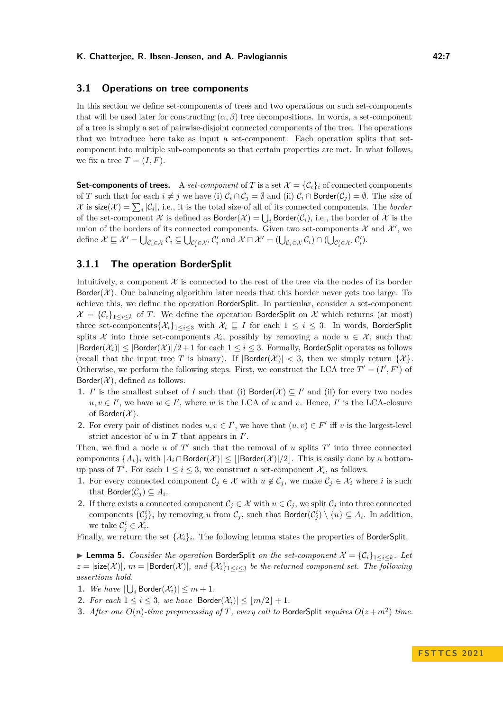## <span id="page-6-0"></span>**3.1 Operations on tree components**

In this section we define set-components of trees and two operations on such set-components that will be used later for constructing  $(\alpha, \beta)$  tree decompositions. In words, a set-component of a tree is simply a set of pairwise-disjoint connected components of the tree. The operations that we introduce here take as input a set-component. Each operation splits that setcomponent into multiple sub-components so that certain properties are met. In what follows, we fix a tree  $T = (I, F)$ .

**Set-components of trees.** A *set-component* of *T* is a set  $\mathcal{X} = \{C_i\}_i$  of connected components of *T* such that for each  $i \neq j$  we have (i)  $C_i \cap C_j = \emptyset$  and (ii)  $C_i \cap$  Border( $C_j$ ) =  $\emptyset$ . The *size* of X is  $size(X) = \sum_{i} |\mathcal{C}_i|$ , i.e., it is the total size of all of its connected components. The *border* of the set-component  $\mathcal X$  is defined as  $\mathsf{Border}(\mathcal X)=\bigcup_i\mathsf{Border}(\mathcal C_i),$  i.e., the border of  $\mathcal X$  is the union of the borders of its connected components. Given two set-components  $\mathcal X$  and  $\mathcal X'$ , we define  $\mathcal{X} \sqsubseteq \mathcal{X}' = \bigcup_{\mathcal{C}_i \in \mathcal{X}} \mathcal{C}_i \subseteq \bigcup_{\mathcal{C}'_i \in \mathcal{X}'} \mathcal{C}'_i$  and  $\mathcal{X} \sqcap \mathcal{X}' = (\bigcup_{\mathcal{C}_i \in \mathcal{X}} \mathcal{C}_i) \cap (\bigcup_{\mathcal{C}'_i \in \mathcal{X}'} \mathcal{C}'_i)$ .

## **3.1.1 The operation BorderSplit**

Intuitively, a component  $X$  is connected to the rest of the tree via the nodes of its border Border(X). Our balancing algorithm later needs that this border never gets too large. To achieve this, we define the operation BorderSplit. In particular, consider a set-component  $\mathcal{X} = \{C_i\}_{1 \leq i \leq k}$  of *T*. We define the operation BorderSplit on X which returns (at most) three set-components $\{\mathcal{X}_i\}_{1\leq i\leq 3}$  with  $\mathcal{X}_i \sqsubseteq I$  for each  $1 \leq i \leq 3$ . In words, BorderSplit splits X into three set-components  $\mathcal{X}_i$ , possibly by removing a node  $u \in \mathcal{X}$ , such that  $|\text{Border}(\mathcal{X}_i)| \leq |\text{Border}(\mathcal{X})|/2 + 1$  for each  $1 \leq i \leq 3$ . Formally, BorderSplit operates as follows (recall that the input tree *T* is binary). If  $|\text{Border}(\mathcal{X})| < 3$ , then we simply return  $\{\mathcal{X}\}\$ . Otherwise, we perform the following steps. First, we construct the LCA tree  $T' = (I', F')$  of Border( $X$ ), defined as follows.

- **1.** *I'* is the smallest subset of *I* such that (i) Border( $X$ )  $\subseteq$  *I'* and (ii) for every two nodes  $u, v \in I'$ , we have  $w \in I'$ , where *w* is the LCA of *u* and *v*. Hence, *I*' is the LCA-closure of Border $(\mathcal{X})$ .
- **2.** For every pair of distinct nodes  $u, v \in I'$ , we have that  $(u, v) \in F'$  iff *v* is the largest-level strict ancestor of  $u$  in  $T$  that appears in  $I'$ .

Then, we find a node  $u$  of  $T'$  such that the removal of  $u$  splits  $T'$  into three connected components  $\{A_i\}_i$  with  $|A_i \cap \text{Border}(\mathcal{X})| \leq ||\text{Border}(\mathcal{X})||/2$ . This is easily done by a bottomup pass of *T'*. For each  $1 \leq i \leq 3$ , we construct a set-component  $\mathcal{X}_i$ , as follows.

- **1.** For every connected component  $C_j \in \mathcal{X}$  with  $u \notin C_j$ , we make  $C_j \in \mathcal{X}_i$  where *i* is such that  $\mathsf{Border}(\mathcal{C}_j) \subseteq A_i$ .
- **2.** If there exists a connected component  $C_j \in \mathcal{X}$  with  $u \in C_j$ , we split  $C_j$  into three connected components  $\{C_j^i\}_i$  by removing *u* from  $C_j$ , such that  $\mathsf{Border}(C_j^i) \setminus \{u\} \subseteq A_i$ . In addition, we take  $\mathcal{C}_j^i \in \mathcal{X}_i$ .

<span id="page-6-1"></span>Finally, we return the set  $\{\mathcal{X}_i\}_i$ . The following lemma states the properties of BorderSplit.

▶ **Lemma 5.** *Consider the operation* BorderSplit *on the set-component*  $\mathcal{X} = \{C_i\}_{1 \leq i \leq k}$ *. Let*  $z = |\text{size}(\mathcal{X})|$ ,  $m = |\text{Border}(\mathcal{X})|$ , and  $\{\mathcal{X}_i\}_{1 \leq i \leq 3}$  be the returned component set. The following *assertions hold.*

- **1.** *We have*  $|\bigcup_i$  Border $(\mathcal{X}_i)| \leq m+1$ *.*
- **2.** *For each*  $1 \leq i \leq 3$ *, we have*  $|\text{Border}(\mathcal{X}_i)| \leq |m/2| + 1$ *.*
- **3.** After one  $O(n)$ -time preprocessing of *T*, every call to BorderSplit requires  $O(z + m^2)$  time.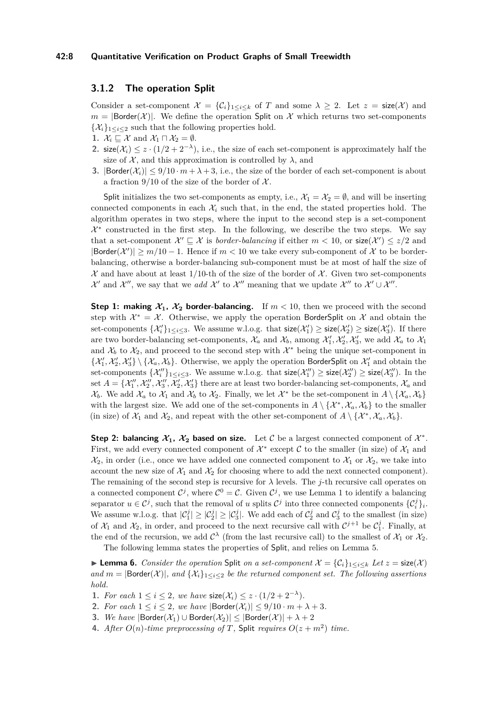#### **42:8 Quantitative Verification on Product Graphs of Small Treewidth**

## **3.1.2 The operation Split**

Consider a set-component  $\mathcal{X} = \{C_i\}_{1 \leq i \leq k}$  of *T* and some  $\lambda \geq 2$ . Let  $z = \text{size}(\mathcal{X})$  and  $m = |\text{Border}(\mathcal{X})|$ . We define the operation Split on X which returns two set-components  $\{\mathcal{X}_i\}_{1 \leq i \leq 2}$  such that the following properties hold.

- **1.**  $\mathcal{X}_i \sqsubseteq \mathcal{X}$  and  $\mathcal{X}_1 \sqcap \mathcal{X}_2 = \emptyset$ .
- 2. size( $\mathcal{X}_i$ ) ≤ *z* · (1/2 + 2<sup>− $\lambda$ </sup>), i.e., the size of each set-component is approximately half the size of  $X$ , and this approximation is controlled by  $\lambda$ , and
- **3.**  $|\text{Border}(\mathcal{X}_i)| \leq 9/10 \cdot m + \lambda + 3$ , i.e., the size of the border of each set-component is about a fraction  $9/10$  of the size of the border of  $\mathcal{X}$ .

Split initializes the two set-components as empty, i.e.,  $\mathcal{X}_1 = \mathcal{X}_2 = \emptyset$ , and will be inserting connected components in each  $\mathcal{X}_i$  such that, in the end, the stated properties hold. The algorithm operates in two steps, where the input to the second step is a set-component  $\mathcal{X}^*$  constructed in the first step. In the following, we describe the two steps. We say that a set-component  $\mathcal{X}' \subseteq \mathcal{X}$  is *border-balancing* if either  $m < 10$ , or  $size(\mathcal{X}') \leq z/2$  and  $|\text{Border}(\mathcal{X}')| \geq m/10 - 1$ . Hence if  $m < 10$  we take every sub-component of X to be borderbalancing, otherwise a border-balancing sub-component must be at most of half the size of  $\mathcal X$  and have about at least 1/10-th of the size of the border of  $\mathcal X$ . Given two set-components  $\mathcal{X}'$  and  $\mathcal{X}''$ , we say that we *add*  $\mathcal{X}'$  to  $\mathcal{X}''$  meaning that we update  $\mathcal{X}''$  to  $\mathcal{X}' \cup \mathcal{X}''$ .

**Step 1: making**  $X_1$ **,**  $X_2$  **border-balancing.** If  $m < 10$ , then we proceed with the second step with  $\mathcal{X}^* = \mathcal{X}$ . Otherwise, we apply the operation BorderSplit on X and obtain the set-components  $\{\mathcal{X}'_i\}_{1\leq i\leq 3}$ . We assume w.l.o.g. that  $\mathsf{size}(\mathcal{X}'_1)\geq \mathsf{size}(\mathcal{X}'_2)\geq \mathsf{size}(\mathcal{X}'_3)$ . If there are two border-balancing set-components,  $\mathcal{X}_a$  and  $\mathcal{X}_b$ , among  $\mathcal{X}'_1$ ,  $\mathcal{X}'_2$ ,  $\mathcal{X}'_3$ , we add  $\mathcal{X}_a$  to  $\mathcal{X}_1$ and  $\mathcal{X}_b$  to  $\mathcal{X}_2$ , and proceed to the second step with  $\mathcal{X}^*$  being the unique set-component in  $\{\mathcal{X}'_1,\mathcal{X}'_2,\mathcal{X}'_3\}\setminus\{\mathcal{X}_a,\mathcal{X}_b\}$ . Otherwise, we apply the operation BorderSplit on  $\mathcal{X}'_1$  and obtain the set-components  $\{\mathcal{X}''_i\}_{1\leq i\leq 3}$ . We assume w.l.o.g. that  $\mathsf{size}(\mathcal{X}''_1) \geq \mathsf{size}(\mathcal{X}''_2) \geq \mathsf{size}(\mathcal{X}''_3)$ . In the set  $A = \{X''_1, X''_2, X''_3, X'_2, X'_3\}$  there are at least two border-balancing set-components,  $\mathcal{X}_a$  and  $\mathcal{X}_b$ . We add  $\mathcal{X}_a$  to  $\mathcal{X}_1$  and  $\mathcal{X}_b$  to  $\mathcal{X}_2$ . Finally, we let  $\mathcal{X}^*$  be the set-component in  $A \setminus {\mathcal{X}_a, \mathcal{X}_b}$ with the largest size. We add one of the set-components in  $A \setminus \{X^*, X_a, X_b\}$  to the smaller (in size) of  $\mathcal{X}_1$  and  $\mathcal{X}_2$ , and repeat with the other set-component of  $A \setminus {\{\mathcal{X}^*, \mathcal{X}_a, \mathcal{X}_b\}}$ .

Step 2: balancing  $\mathcal{X}_1$ ,  $\mathcal{X}_2$  based on size. Let C be a largest connected component of  $\mathcal{X}^*$ . First, we add every connected component of  $\mathcal{X}^*$  except  $\mathcal C$  to the smaller (in size) of  $\mathcal X_1$  and  $\mathcal{X}_2$ , in order (i.e., once we have added one connected component to  $\mathcal{X}_1$  or  $\mathcal{X}_2$ , we take into account the new size of  $\mathcal{X}_1$  and  $\mathcal{X}_2$  for choosing where to add the next connected component). The remaining of the second step is recursive for *λ* levels. The *j*-th recursive call operates on a connected component  $\mathcal{C}^j$ , where  $\mathcal{C}^0 = \mathcal{C}$ . Given  $\mathcal{C}^j$ , we use Lemma [1](#page-4-2) to identify a balancing separator  $u \in C^j$ , such that the removal of *u* splits  $C^j$  into three connected components  $\{C_i^j\}_i$ . We assume w.l.o.g. that  $|\mathcal{C}_1^j| \geq |\mathcal{C}_2^j| \geq |\mathcal{C}_3^j|$ . We add each of  $\mathcal{C}_2^j$  and  $\mathcal{C}_3^j$  to the smallest (in size) of  $\mathcal{X}_1$  and  $\mathcal{X}_2$ , in order, and proceed to the next recursive call with  $\mathcal{C}^{j+1}$  be  $\mathcal{C}_1^j$ . Finally, at the end of the recursion, we add  $\mathcal{C}^{\lambda}$  (from the last recursive call) to the smallest of  $\mathcal{X}_1$  or  $\mathcal{X}_2$ .

The following lemma states the properties of Split, and relies on Lemma [5.](#page-6-1)

<span id="page-7-0"></span>▶ **Lemma 6.** *Consider the operation* Split *on a set-component*  $\mathcal{X} = \{C_i\}_{1 \le i \le k}$  *Let*  $z = \text{size}(\mathcal{X})$ *and*  $m = |\text{Border}(\mathcal{X})|$ , and  $\{\mathcal{X}_i\}_{1 \leq i \leq 2}$  be the returned component set. The following assertions *hold.*

- 1. *For each*  $1 \leq i \leq 2$ , we have  $\text{size}(\mathcal{X}_i) \leq z \cdot (1/2 + 2^{-\lambda})$ .
- **2.** *For each*  $1 \leq i \leq 2$ , *we have*  $|\text{Border}(\mathcal{X}_i)| \leq 9/10 \cdot m + \lambda + 3$ .
- **3.** *We have*  $|\text{Border}(\mathcal{X}_1) \cup \text{Border}(\mathcal{X}_2)| \leq |\text{Border}(\mathcal{X})| + \lambda + 2$
- **4.** After  $O(n)$ -time preprocessing of T, Split requires  $O(z + m^2)$  time.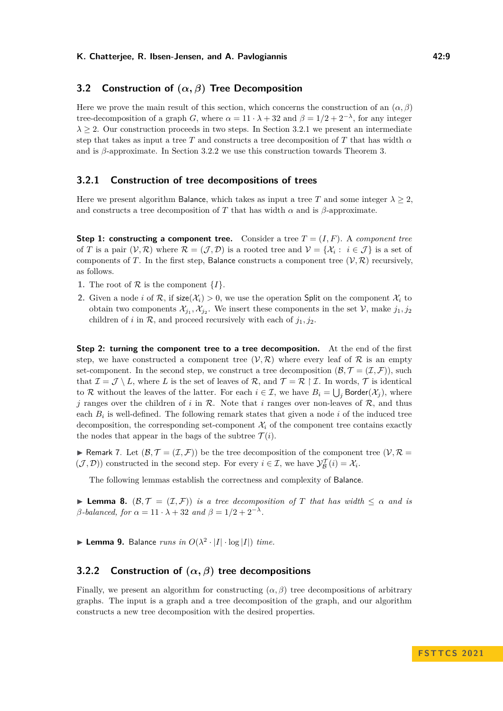## <span id="page-8-0"></span>**3.2 Construction of (***α, β***) Tree Decomposition**

Here we prove the main result of this section, which concerns the construction of an  $(\alpha, \beta)$ tree-decomposition of a graph *G*, where  $\alpha = 11 \cdot \lambda + 32$  and  $\beta = 1/2 + 2^{-\lambda}$ , for any integer  $\lambda \geq 2$ . Our construction proceeds in two steps. In Section [3.2.1](#page-8-1) we present an intermediate step that takes as input a tree *T* and constructs a tree decomposition of *T* that has width  $\alpha$ and is *β*-approximate. In Section [3.2.2](#page-8-2) we use this construction towards Theorem [3.](#page-5-0)

## <span id="page-8-1"></span>**3.2.1 Construction of tree decompositions of trees**

Here we present algorithm Balance, which takes as input a tree *T* and some integer  $\lambda > 2$ , and constructs a tree decomposition of *T* that has width  $\alpha$  and is  $\beta$ -approximate.

**Step 1: constructing a component tree.** Consider a tree  $T = (I, F)$ . A *component tree* of *T* is a pair  $(V, \mathcal{R})$  where  $\mathcal{R} = (\mathcal{J}, \mathcal{D})$  is a rooted tree and  $V = \{\mathcal{X}_i : i \in \mathcal{J}\}\$ is a set of components of *T*. In the first step, Balance constructs a component tree  $(V, R)$  recursively, as follows.

- **1.** The root of  $\mathcal{R}$  is the component  $\{I\}$ .
- **2.** Given a node *i* of  $\mathcal{R}$ , if size( $\mathcal{X}_i$ ) > 0, we use the operation Split on the component  $\mathcal{X}_i$  to obtain two components  $\mathcal{X}_{j_1}, \mathcal{X}_{j_2}$ . We insert these components in the set  $\mathcal{V}$ , make  $j_1, j_2$ children of *i* in  $\mathcal{R}$ , and proceed recursively with each of  $j_1, j_2$ .

**Step 2: turning the component tree to a tree decomposition.** At the end of the first step, we have constructed a component tree  $(V, \mathcal{R})$  where every leaf of  $\mathcal R$  is an empty set-component. In the second step, we construct a tree decomposition  $(\mathcal{B}, \mathcal{T} = (\mathcal{I}, \mathcal{F}))$ , such that  $\mathcal{I} = \mathcal{J} \setminus L$ , where L is the set of leaves of R, and  $\mathcal{T} = \mathcal{R} \upharpoonright \mathcal{I}$ . In words,  $\mathcal{T}$  is identical to R without the leaves of the latter. For each  $i \in \mathcal{I}$ , we have  $B_i = \bigcup_j \mathsf{Border}(\mathcal{X}_j)$ , where *j* ranges over the children of *i* in  $\mathcal{R}$ . Note that *i* ranges over non-leaves of  $\mathcal{R}$ , and thus each  $B_i$  is well-defined. The following remark states that given a node  $i$  of the induced tree decomposition, the corresponding set-component  $\mathcal{X}_i$  of the component tree contains exactly the nodes that appear in the bags of the subtree  $\mathcal{T}(i)$ .

<span id="page-8-5"></span>**• Remark 7.** Let  $(\mathcal{B}, \mathcal{T} = (\mathcal{I}, \mathcal{F}))$  be the tree decomposition of the component tree  $(\mathcal{V}, \mathcal{R} =$  $(\mathcal{J}, \mathcal{D})$  constructed in the second step. For every  $i \in \mathcal{I}$ , we have  $\mathcal{Y}_{\mathcal{B}}^{\mathcal{T}}(i) = \mathcal{X}_i$ .

The following lemmas establish the correctness and complexity of Balance.

<span id="page-8-3"></span>**► Lemma 8.**  $(B, \mathcal{T} = (\mathcal{I}, \mathcal{F}))$  *is a tree decomposition of T that has width*  $\leq \alpha$  *and is β*<sup>-balanced, for  $\alpha = 11 \cdot \lambda + 32$  and  $\beta = 1/2 + 2^{-\lambda}$ .</sup>

<span id="page-8-4"></span>**Example 12.** Balance *runs in*  $O(\lambda^2 \cdot |I| \cdot \log |I|)$  *time.* 

## <span id="page-8-2"></span>**3.2.2 Construction of (***α, β***) tree decompositions**

Finally, we present an algorithm for constructing  $(\alpha, \beta)$  tree decompositions of arbitrary graphs. The input is a graph and a tree decomposition of the graph, and our algorithm constructs a new tree decomposition with the desired properties.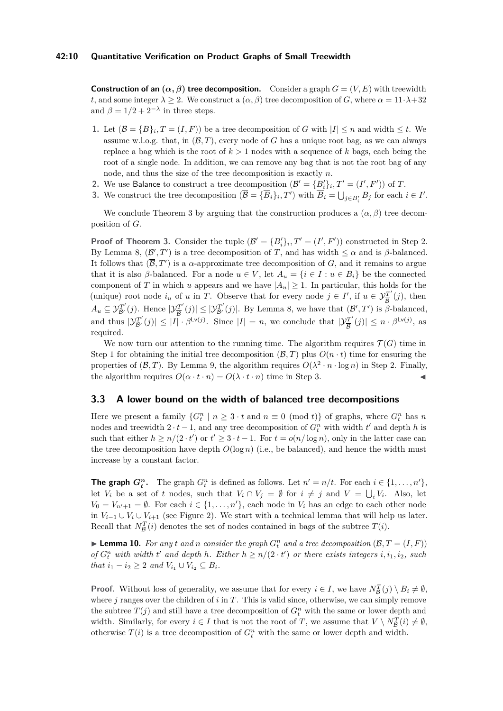**Construction of an**  $(\alpha, \beta)$  **tree decomposition.** Consider a graph  $G = (V, E)$  with treewidth *t*, and some integer  $\lambda \geq 2$ . We construct a  $(\alpha, \beta)$  tree decomposition of *G*, where  $\alpha = 11 \cdot \lambda + 32$ and  $\beta = 1/2 + 2^{-\lambda}$  in three steps.

- <span id="page-9-2"></span>**1.** Let  $(\mathcal{B} = \{B\}_i, T = (I, F))$  be a tree decomposition of *G* with  $|I| \leq n$  and width  $\leq t$ . We assume w.l.o.g. that, in  $(\mathcal{B}, T)$ , every node of G has a unique root bag, as we can always replace a bag which is the root of  $k > 1$  nodes with a sequence of  $k$  bags, each being the root of a single node. In addition, we can remove any bag that is not the root bag of any node, and thus the size of the tree decomposition is exactly *n*.
- <span id="page-9-1"></span>**2.** We use Balance to construct a tree decomposition  $(\mathcal{B}' = \{B'_i\}_i, T' = (I', F'))$  of *T*.
- <span id="page-9-3"></span>**3.** We construct the tree decomposition  $(\overline{B} = {\overline{B_i}}_i, T')$  with  $\overline{B_i} = \bigcup_{j \in B'_i} B_j$  for each  $i \in I'$ .

We conclude Theorem [3](#page-5-0) by arguing that the construction produces a  $(\alpha, \beta)$  tree decomposition of *G*.

**Proof of Theorem [3.](#page-5-0)** Consider the tuple  $(\mathcal{B}' = \{B'_i\}_i, T' = (I', F'))$  constructed in Step [2.](#page-9-1) By Lemma [8,](#page-8-3)  $(\mathcal{B}', T')$  is a tree decomposition of *T*, and has width  $\leq \alpha$  and is *β*-balanced. It follows that  $(\overline{B}, T')$  is a *α*-approximate tree decomposition of *G*, and it remains to argue that it is also *β*-balanced. For a node  $u \in V$ , let  $A_u = \{i \in I : u \in B_i\}$  be the connected component of *T* in which *u* appears and we have  $|A_u| \geq 1$ . In particular, this holds for the (unique) root node  $i_u$  of *u* in *T*. Observe that for every node  $j \in I'$ , if  $u \in \mathcal{Y}_{\overline{R}}^{T'}$  $\frac{\partial T'}{\partial \mathcal{B}}(j)$ , then  $A_u \subseteq \mathcal{Y}_{\mathcal{B}'}^{T'}(j)$ . Hence  $|\mathcal{Y}_{\overline{\mathcal{B}}}^{T'}|$  $|\mathcal{Y}^{T'}_{\mathcal{B}}(j)| \leq |\mathcal{Y}^{T'}_{\mathcal{B}'}(j)|$ . By Lemma [8,](#page-8-3) we have that  $(\mathcal{B}', T')$  is  $\beta$ -balanced, and thus  $|\mathcal{Y}_{\mathcal{B}'}^{T'}(j)| \leq |I| \cdot \beta^{\mathsf{Lv}(j)}$ . Since  $|I| = n$ , we conclude that  $|\mathcal{Y}_{\overline{\mathcal{B}}}^{T'}|$  $\left|\frac{d}{B}^{T'}(j)\right| \leq n \cdot \beta^{\mathsf{Lv}(j)}, \text{ as }$ required.

We now turn our attention to the running time. The algorithm requires  $\mathcal{T}(G)$  time in Step [1](#page-9-2) for obtaining the initial tree decomposition  $(\mathcal{B}, T)$  plus  $O(n \cdot t)$  time for ensuring the properties of  $(\mathcal{B}, T)$ . By Lemma [9,](#page-8-4) the algorithm requires  $O(\lambda^2 \cdot n \cdot \log n)$  in Step [2.](#page-9-1) Finally, the algorithm requires  $O(\alpha \cdot t \cdot n) = O(\lambda \cdot t \cdot n)$  time in Step [3.](#page-9-3)

## <span id="page-9-0"></span>**3.3 A lower bound on the width of balanced tree decompositions**

Here we present a family  $\{G_t^n \mid n \geq 3 \cdot t \text{ and } n \equiv 0 \pmod{t}\}$  of graphs, where  $G_t^n$  has *n* nodes and treewidth  $2 \cdot t - 1$ , and any tree decomposition of  $G_t^n$  with width  $t'$  and depth  $h$  is such that either  $h \geq n/(2 \cdot t')$  or  $t' \geq 3 \cdot t - 1$ . For  $t = o(n/\log n)$ , only in the latter case can the tree decomposition have depth  $O(\log n)$  (i.e., be balanced), and hence the width must increase by a constant factor.

**The graph**  $G_t^n$ . The graph  $G_t^n$  is defined as follows. Let  $n' = n/t$ . For each  $i \in \{1, ..., n'\}$ , let  $V_i$  be a set of *t* nodes, such that  $V_i \cap V_j = \emptyset$  for  $i \neq j$  and  $V = \bigcup_i V_i$ . Also, let  $V_0 = V_{n'+1} = \emptyset$ . For each  $i \in \{1, ..., n'\}$ , each node in  $V_i$  has an edge to each other node in  $V_{i-1}$  ∪  $V_i$  ∪  $V_{i+1}$  (see Figure [2\)](#page-10-0). We start with a technical lemma that will help us later. Recall that  $N_{\mathcal{B}}^T(i)$  denotes the set of nodes contained in bags of the subtree  $T(i)$ .

<span id="page-9-4"></span> $\blacktriangleright$  **Lemma 10.** For any *t* and *n* consider the graph  $G_t^n$  and a tree decomposition  $(\mathcal{B}, T = (I, F))$ *of*  $G_t^n$  *with width*  $t'$  *and depth*  $h$ *. Either*  $h \geq n/(2 \cdot t')$  *or there exists integers*  $i, i_1, i_2,$  *such that*  $i_1 - i_2 \geq 2$  *and*  $V_{i_1} \cup V_{i_2} \subseteq B_i$ *.* 

**Proof.** Without loss of generality, we assume that for every  $i \in I$ , we have  $N_{\mathcal{B}}^T(j) \setminus B_i \neq \emptyset$ , where *j* ranges over the children of *i* in *T*. This is valid since, otherwise, we can simply remove the subtree  $T(j)$  and still have a tree decomposition of  $G_t^n$  with the same or lower depth and width. Similarly, for every  $i \in I$  that is not the root of *T*, we assume that  $V \setminus N_B^T(i) \neq \emptyset$ , otherwise  $T(i)$  is a tree decomposition of  $G_t^n$  with the same or lower depth and width.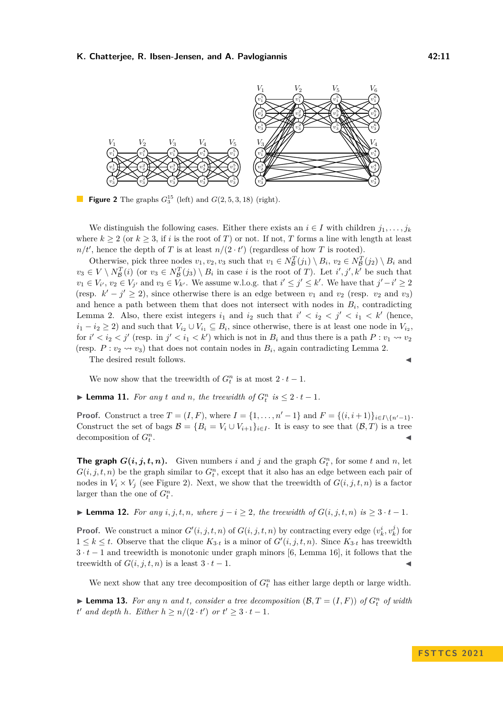<span id="page-10-0"></span>

**Figure 2** The graphs  $G_3^{15}$  (left) and  $G(2, 5, 3, 18)$  (right).

We distinguish the following cases. Either there exists an  $i \in I$  with children  $j_1, \ldots, j_k$ where  $k \geq 2$  (or  $k \geq 3$ , if *i* is the root of *T*) or not. If not, *T* forms a line with length at least  $n/t'$ , hence the depth of *T* is at least  $n/(2 \cdot t')$  (regardless of how *T* is rooted).

Otherwise, pick three nodes  $v_1, v_2, v_3$  such that  $v_1 \in N_B^T(j_1) \setminus B_i$ ,  $v_2 \in N_B^T(j_2) \setminus B_i$  and  $v_3 \in V \setminus N_B^T(i)$  (or  $v_3 \in N_B^T(j_3) \setminus B_i$  in case *i* is the root of *T*). Let *i*', *j'*, *k'* be such that  $v_1 \in V_{i'}$ ,  $v_2 \in V_{j'}$  and  $v_3 \in V_{k'}$ . We assume w.l.o.g. that  $i' \leq j' \leq k'$ . We have that  $j'-i' \geq 2$ (resp.  $k' - j' \ge 2$ ), since otherwise there is an edge between  $v_1$  and  $v_2$  (resp.  $v_2$  and  $v_3$ ) and hence a path between them that does not intersect with nodes in  $B_i$ , contradicting Lemma [2.](#page-4-3) Also, there exist integers  $i_1$  and  $i_2$  such that  $i' < i_2 < j' < i_1 < k'$  (hence,  $i_1 - i_2 \geq 2$ ) and such that  $V_{i_2} \cup V_{i_1} \subseteq B_i$ , since otherwise, there is at least one node in  $V_{i_2}$ , for  $i' < i_2 < j'$  (resp. in  $j' < i_1 < k'$ ) which is not in  $B_i$  and thus there is a path  $P: v_1 \leadsto v_2$ (resp.  $P: v_2 \rightsquigarrow v_3$ ) that does not contain nodes in  $B_i$ , again contradicting Lemma [2.](#page-4-3)

The desired result follows.

We now show that the treewidth of  $G_t^n$  is at most  $2 \cdot t - 1$ .

<span id="page-10-2"></span>▶ **Lemma 11.** *For any t and n*, *the treewidth of*  $G_t^n$  *is* ≤ 2 · *t* − 1*.* 

**Proof.** Construct a tree  $T = (I, F)$ , where  $I = \{1, ..., n' - 1\}$  and  $F = \{(i, i + 1)\}_{i \in I \setminus \{n' - 1\}}$ . Construct the set of bags  $\mathcal{B} = \{B_i = V_i \cup V_{i+1}\}_{i \in I}$ . It is easy to see that  $(\mathcal{B}, T)$  is a tree decomposition of *G<sup>n</sup> t* . ◀

**The graph**  $G(i, j, t, n)$ . Given numbers *i* and *j* and the graph  $G_t^n$ , for some *t* and *n*, let  $G(i, j, t, n)$  be the graph similar to  $G_t^n$ , except that it also has an edge between each pair of nodes in  $V_i \times V_j$  (see Figure [2\)](#page-10-0). Next, we show that the treewidth of  $G(i, j, t, n)$  is a factor larger than the one of  $G_t^n$ .

<span id="page-10-1"></span>▶ **Lemma 12.** *For any i, j, t, n, where*  $j - i \geq 2$ *, the treewidth of*  $G(i, j, t, n)$  *is*  $\geq 3 \cdot t - 1$ *.* 

**Proof.** We construct a minor  $G'(i, j, t, n)$  of  $G(i, j, t, n)$  by contracting every edge  $(v_k^i, v_k^j)$  for  $1 \leq k \leq t$ . Observe that the clique  $K_{3\cdot t}$  is a minor of  $G'(i, j, t, n)$ . Since  $K_{3\cdot t}$  has treewidth 3 · *t* − 1 and treewidth is monotonic under graph minors [\[6,](#page-16-9) Lemma 16], it follows that the treewidth of  $G(i, j, t, n)$  is a least  $3 \cdot t - 1$ .

We next show that any tree decomposition of  $G_t^n$  has either large depth or large width.

<span id="page-10-3"></span> $\blacktriangleright$  **Lemma 13.** For any *n* and *t*, consider a tree decomposition  $(B, T = (I, F))$  of  $G_t^n$  of width *t*<sup>*t*</sup> and depth *h*. Either  $h \geq n/(2 \cdot t')$  or  $t' \geq 3 \cdot t - 1$ .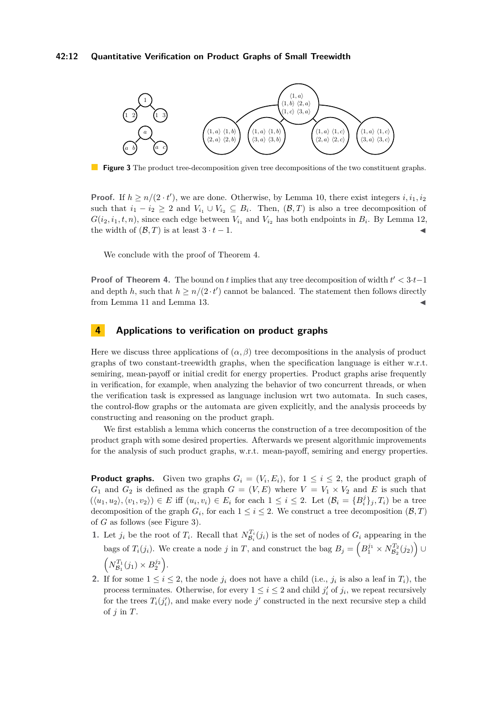#### **42:12 Quantitative Verification on Product Graphs of Small Treewidth**

<span id="page-11-0"></span>

**Figure 3** The product tree-decomposition given tree decompositions of the two constituent graphs.

**Proof.** If  $h \geq n/(2 \cdot t')$ , we are done. Otherwise, by Lemma [10,](#page-9-4) there exist integers  $i, i_1, i_2$ such that  $i_1 - i_2 \geq 2$  and  $V_{i_1} \cup V_{i_2} \subseteq B_i$ . Then,  $(\mathcal{B}, T)$  is also a tree decomposition of  $G(i_2, i_1, t, n)$ , since each edge between  $V_{i_1}$  and  $V_{i_2}$  has both endpoints in  $B_i$ . By Lemma [12,](#page-10-1) the width of  $(\mathcal{B}, T)$  is at least  $3 \cdot t - 1$ .

We conclude with the proof of Theorem [4.](#page-5-1)

**Proof of Theorem [4.](#page-5-1)** The bound on *t* implies that any tree decomposition of width *t* ′ *<* 3·*t*−1 and depth *h*, such that  $h \geq n/(2 \cdot t')$  cannot be balanced. The statement then follows directly from Lemma [11](#page-10-2) and Lemma [13.](#page-10-3)  $\blacktriangleleft$ 

## **4 Applications to verification on product graphs**

Here we discuss three applications of  $(\alpha, \beta)$  tree decompositions in the analysis of product graphs of two constant-treewidth graphs, when the specification language is either w.r.t. semiring, mean-payoff or initial credit for energy properties. Product graphs arise frequently in verification, for example, when analyzing the behavior of two concurrent threads, or when the verification task is expressed as language inclusion wrt two automata. In such cases, the control-flow graphs or the automata are given explicitly, and the analysis proceeds by constructing and reasoning on the product graph.

We first establish a lemma which concerns the construction of a tree decomposition of the product graph with some desired properties. Afterwards we present algorithmic improvements for the analysis of such product graphs, w.r.t. mean-payoff, semiring and energy properties.

**Product graphs.** Given two graphs  $G_i = (V_i, E_i)$ , for  $1 \leq i \leq 2$ , the product graph of  $G_1$  and  $G_2$  is defined as the graph  $G = (V, E)$  where  $V = V_1 \times V_2$  and E is such that  $(\langle u_1, u_2 \rangle, \langle v_1, v_2 \rangle) \in E$  iff  $(u_i, v_i) \in E_i$  for each  $1 \leq i \leq 2$ . Let  $(\mathcal{B}_i = \{B_i^j\}_j, T_i)$  be a tree decomposition of the graph  $G_i$ , for each  $1 \leq i \leq 2$ . We construct a tree decomposition  $(\mathcal{B}, T)$ of *G* as follows (see Figure [3\)](#page-11-0).

- **1.** Let  $j_i$  be the root of  $T_i$ . Recall that  $N_{\mathcal{B}_i}^{T_i}(j_i)$  is the set of nodes of  $G_i$  appearing in the bags of  $T_i(j_i)$ . We create a node *j* in *T*, and construct the bag  $B_j = \left(B_1^{j_1} \times N_{B_2}^{T_2}(j_2)\right) \cup$  $\left(N_{\mathcal{B}_1}^{T_1}(j_1) \times B_2^{j_2}\right)$ .
- **2.** If for some  $1 \leq i \leq 2$ , the node  $j_i$  does not have a child (i.e.,  $j_i$  is also a leaf in  $T_i$ ), the process terminates. Otherwise, for every  $1 \leq i \leq 2$  and child  $j'_{i}$  of  $j_{i}$ , we repeat recursively for the trees  $T_i(j'_i)$ , and make every node  $j'$  constructed in the next recursive step a child of *j* in *T*.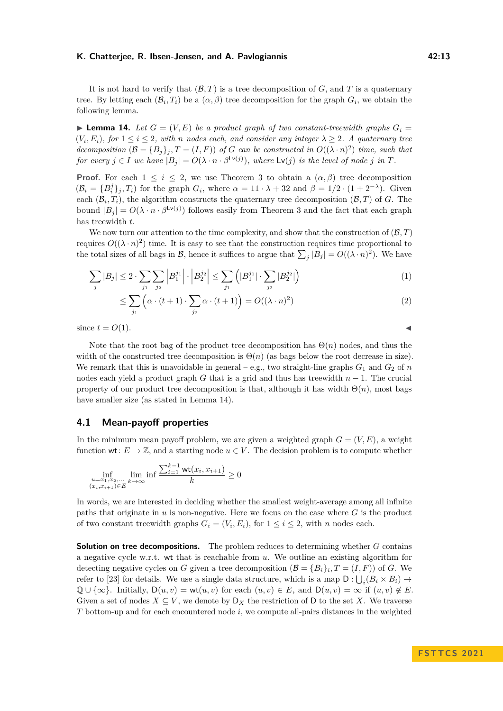It is not hard to verify that  $(B, T)$  is a tree decomposition of  $G$ , and  $T$  is a quaternary tree. By letting each  $(\mathcal{B}_i, T_i)$  be a  $(\alpha, \beta)$  tree decomposition for the graph  $G_i$ , we obtain the following lemma.

<span id="page-12-0"></span> $\blacktriangleright$  **Lemma 14.** Let  $G = (V, E)$  be a product graph of two constant-treewidth graphs  $G_i =$  $(V_i, E_i)$ , for  $1 \leq i \leq 2$ , with *n* nodes each, and consider any integer  $\lambda \geq 2$ . A quaternary tree *decomposition*  $(\mathcal{B} = \{B_j\}_j, T = (I, F))$  *of G can be constructed in*  $O((\lambda \cdot n)^2)$  *time, such that for every*  $j \in I$  *we have*  $|B_j| = O(\lambda \cdot n \cdot \beta^{\mathsf{Lv}(j)})$ *, where*  $\mathsf{Lv}(j)$  *is the level of node j in T.* 

**Proof.** For each  $1 \leq i \leq 2$ , we use Theorem [3](#page-5-0) to obtain a  $(\alpha, \beta)$  tree decomposition  $(\mathcal{B}_i = \{B_i^j\}_j, T_i)$  for the graph  $G_i$ , where  $\alpha = 11 \cdot \lambda + 32$  and  $\beta = 1/2 \cdot (1 + 2^{-\lambda})$ . Given each  $(\mathcal{B}_i, T_i)$ , the algorithm constructs the quaternary tree decomposition  $(\mathcal{B}, T)$  of *G*. The bound  $|B_j| = O(\lambda \cdot n \cdot \beta^{\mathsf{Lv}(j)})$  follows easily from Theorem [3](#page-5-0) and the fact that each graph has treewidth *t*.

We now turn our attention to the time complexity, and show that the construction of  $(B, T)$ requires  $O((\lambda \cdot n)^2)$  time. It is easy to see that the construction requires time proportional to the total sizes of all bags in  $\mathcal{B}$ , hence it suffices to argue that  $\sum_j |B_j| = O((\lambda \cdot n)^2)$ . We have

$$
\sum_{j} |B_j| \le 2 \cdot \sum_{j_1} \sum_{j_2} |B_1^{j_1}| \cdot |B_2^{j_2}| \le \sum_{j_1} (|B_1^{j_1}| \cdot \sum_{j_2} |B_2^{j_2}|) \tag{1}
$$

$$
\leq \sum_{j_1} \left( \alpha \cdot (t+1) \cdot \sum_{j_2} \alpha \cdot (t+1) \right) = O((\lambda \cdot n)^2)
$$
\n(2)

since  $t = O(1)$ .

Note that the root bag of the product tree decomposition has  $\Theta(n)$  nodes, and thus the width of the constructed tree decomposition is  $\Theta(n)$  (as bags below the root decrease in size). We remark that this is unavoidable in general – e.g., two straight-line graphs  $G_1$  and  $G_2$  of *n* nodes each yield a product graph *G* that is a grid and thus has treewidth *n* − 1. The crucial property of our product tree decomposition is that, although it has width  $\Theta(n)$ , most bags have smaller size (as stated in Lemma [14\)](#page-12-0).

## **4.1 Mean-payoff properties**

In the minimum mean payoff problem, we are given a weighted graph  $G = (V, E)$ , a weight function wt:  $E \to \mathbb{Z}$ , and a starting node  $u \in V$ . The decision problem is to compute whether

$$
\inf_{\substack{u=x_1,x_2,\ldots\\(x_i,x_{i+1})\in E}} \lim_{k\to\infty} \inf \frac{\sum_{i=1}^{k-1} \operatorname{wt}(x_i,x_{i+1})}{k} \ge 0
$$

In words, we are interested in deciding whether the smallest weight-average among all infinite paths that originate in *u* is non-negative. Here we focus on the case where *G* is the product of two constant treewidth graphs  $G_i = (V_i, E_i)$ , for  $1 \leq i \leq 2$ , with *n* nodes each.

**Solution on tree decompositions.** The problem reduces to determining whether *G* contains a negative cycle w.r.t. wt that is reachable from *u*. We outline an existing algorithm for detecting negative cycles on *G* given a tree decomposition  $(B = {B_i}_i, T = (I, F))$  of *G*. We refer to [\[23\]](#page-17-18) for details. We use a single data structure, which is a map  $D: \bigcup_i (B_i \times B_i) \to$  $\mathbb{Q} \cup \{\infty\}$ . Initially,  $D(u, v) = \mathsf{wt}(u, v)$  for each  $(u, v) \in E$ , and  $D(u, v) = \infty$  if  $(u, v) \notin E$ . Given a set of nodes  $X \subseteq V$ , we denote by  $D_X$  the restriction of D to the set X. We traverse *T* bottom-up and for each encountered node *i*, we compute all-pairs distances in the weighted

$$
\blacktriangleleft
$$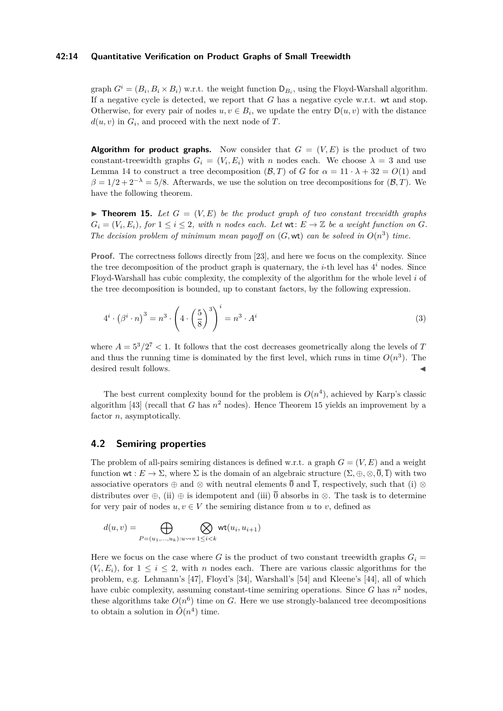#### **42:14 Quantitative Verification on Product Graphs of Small Treewidth**

graph  $G^i = (B_i, B_i \times B_i)$  w.r.t. the weight function  $D_{B_i}$ , using the Floyd-Warshall algorithm. If a negative cycle is detected, we report that *G* has a negative cycle w.r.t. wt and stop. Otherwise, for every pair of nodes  $u, v \in B_i$ , we update the entry  $D(u, v)$  with the distance  $d(u, v)$  in  $G_i$ , and proceed with the next node of *T*.

**Algorithm for product graphs.** Now consider that  $G = (V, E)$  is the product of two constant-treewidth graphs  $G_i = (V_i, E_i)$  with *n* nodes each. We choose  $\lambda = 3$  and use Lemma [14](#page-12-0) to construct a tree decomposition  $(B,T)$  of *G* for  $\alpha = 11 \cdot \lambda + 32 = O(1)$  and  $\beta = 1/2 + 2^{-\lambda} = 5/8$ . Afterwards, we use the solution on tree decompositions for  $(B, T)$ . We have the following theorem.

<span id="page-13-0"></span> $\blacktriangleright$  **Theorem 15.** Let  $G = (V, E)$  be the product graph of two constant treewidth graphs  $G_i = (V_i, E_i)$ , for  $1 \leq i \leq 2$ , with *n* nodes each. Let  $\mathsf{wt} \colon E \to \mathbb{Z}$  be a weight function on  $G$ . *The decision problem of minimum mean payoff on*  $(G, \text{wt})$  *can be solved in*  $O(n^3)$  *time.* 

**Proof.** The correctness follows directly from [\[23\]](#page-17-18), and here we focus on the complexity. Since the tree decomposition of the product graph is quaternary, the *i*-th level has  $4^i$  nodes. Since Floyd-Warshall has cubic complexity, the complexity of the algorithm for the whole level *i* of the tree decomposition is bounded, up to constant factors, by the following expression.

$$
4i \cdot (\betai \cdot n)3 = n3 \cdot \left(4 \cdot \left(\frac{5}{8}\right)^{3}\right)i = n3 \cdot Ai
$$
 (3)

where  $A = 5^3/2^7 < 1$ . It follows that the cost decreases geometrically along the levels of *T* and thus the running time is dominated by the first level, which runs in time  $O(n^3)$ . The desired result follows.

The best current complexity bound for the problem is  $O(n^4)$ , achieved by Karp's classic algorithm [\[43\]](#page-18-16) (recall that *G* has  $n^2$  nodes). Hence Theorem [15](#page-13-0) yields an improvement by a factor *n*, asymptotically.

## **4.2 Semiring properties**

The problem of all-pairs semiring distances is defined w.r.t. a graph  $G = (V, E)$  and a weight function  $\mathsf{wt}: E \to \Sigma$ , where  $\Sigma$  is the domain of an algebraic structure  $(\Sigma, \oplus, \otimes, \overline{0}, \overline{1})$  with two associative operators  $\oplus$  and  $\otimes$  with neutral elements  $\overline{0}$  and  $\overline{1}$ , respectively, such that (i)  $\otimes$ distributes over  $\oplus$ , (ii)  $\oplus$  is idempotent and (iii)  $\overline{0}$  absorbs in  $\otimes$ . The task is to determine for very pair of nodes  $u, v \in V$  the semiring distance from  $u$  to  $v$ , defined as

$$
d(u,v)=\bigoplus_{P=(u_1,\ldots,u_k): u\leadsto v}\bigotimes_{1\leq i
$$

Here we focus on the case where G is the product of two constant treewidth graphs  $G_i$  =  $(V_i, E_i)$ , for  $1 \leq i \leq 2$ , with *n* nodes each. There are various classic algorithms for the problem, e.g. Lehmann's [\[47\]](#page-18-17), Floyd's [\[34\]](#page-18-18), Warshall's [\[54\]](#page-19-3) and Kleene's [\[44\]](#page-18-19), all of which have cubic complexity, assuming constant-time semiring operations. Since  $G$  has  $n^2$  nodes, these algorithms take  $O(n^6)$  time on *G*. Here we use strongly-balanced tree decompositions to obtain a solution in  $\tilde{O}(n^4)$  time.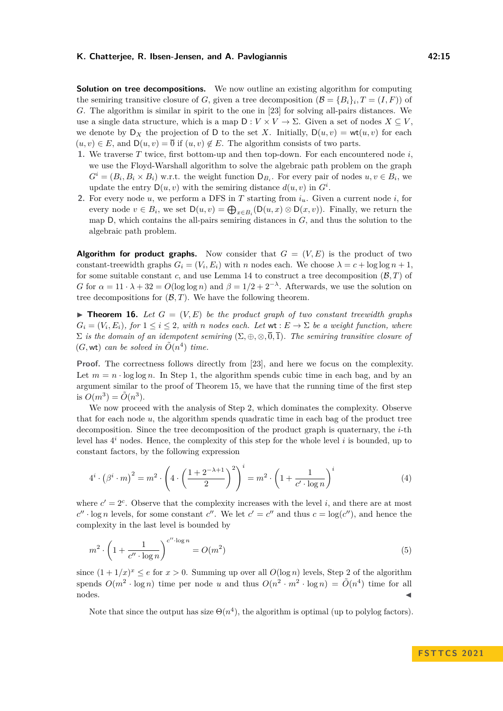**Solution on tree decompositions.** We now outline an existing algorithm for computing the semiring transitive closure of *G*, given a tree decomposition  $(B = {B_i}_i, T = (I, F))$  of *G*. The algorithm is similar in spirit to the one in [\[23\]](#page-17-18) for solving all-pairs distances. We use a single data structure, which is a map  $D: V \times V \to \Sigma$ . Given a set of nodes  $X \subseteq V$ , we denote by  $D_X$  the projection of D to the set X. Initially,  $D(u, v) = \mathsf{wt}(u, v)$  for each  $(u, v) \in E$ , and  $D(u, v) = \overline{0}$  if  $(u, v) \notin E$ . The algorithm consists of two parts.

- <span id="page-14-0"></span>**1.** We traverse *T* twice, first bottom-up and then top-down. For each encountered node *i*, we use the Floyd-Warshall algorithm to solve the algebraic path problem on the graph  $G^i = (B_i, B_i \times B_i)$  w.r.t. the weight function  $D_{B_i}$ . For every pair of nodes  $u, v \in B_i$ , we update the entry  $D(u, v)$  with the semiring distance  $d(u, v)$  in  $G^i$ .
- <span id="page-14-1"></span>**2.** For every node *u*, we perform a DFS in *T* starting from *iu*. Given a current node *i*, for every node  $v \in B_i$ , we set  $D(u, v) = \bigoplus_{x \in B_i} (D(u, x) \otimes D(x, v))$ . Finally, we return the map D, which contains the all-pairs semiring distances in *G*, and thus the solution to the algebraic path problem.

**Algorithm for product graphs.** Now consider that  $G = (V, E)$  is the product of two constant-treewidth graphs  $G_i = (V_i, E_i)$  with *n* nodes each. We choose  $\lambda = c + \log \log n + 1$ , for some suitable constant *c*, and use Lemma [14](#page-12-0) to construct a tree decomposition  $(B, T)$  of *G* for  $\alpha = 11 \cdot \lambda + 32 = O(\log \log n)$  and  $\beta = 1/2 + 2^{-\lambda}$ . Afterwards, we use the solution on tree decompositions for  $(\mathcal{B}, T)$ . We have the following theorem.

 $\blacktriangleright$  **Theorem 16.** Let  $G = (V, E)$  be the product graph of two constant treewidth graphs  $G_i = (V_i, E_i)$ , for  $1 \leq i \leq 2$ , with *n* nodes each. Let  $\mathsf{wt} : E \to \Sigma$  be a weight function, where  $\Sigma$  *is the domain of an idempotent semiring* ( $\Sigma, \oplus, \otimes, \overline{0}, \overline{1}$ ). The semiring transitive closure of  $(G, \text{wt})$  *can be solved in*  $\tilde{O}(n^4)$  *time.* 

**Proof.** The correctness follows directly from [\[23\]](#page-17-18), and here we focus on the complexity. Let  $m = n \cdot \log \log n$ . In Step [1,](#page-14-0) the algorithm spends cubic time in each bag, and by an argument similar to the proof of Theorem [15,](#page-13-0) we have that the running time of the first step is  $O(m^3) = \tilde{O}(n^3)$ .

We now proceed with the analysis of Step [2,](#page-14-1) which dominates the complexity. Observe that for each node *u*, the algorithm spends quadratic time in each bag of the product tree decomposition. Since the tree decomposition of the product graph is quaternary, the *i*-th level has 4 *<sup>i</sup>* nodes. Hence, the complexity of this step for the whole level *i* is bounded, up to constant factors, by the following expression

$$
4^i \cdot (\beta^i \cdot m)^2 = m^2 \cdot \left( 4 \cdot \left( \frac{1 + 2^{-\lambda + 1}}{2} \right)^2 \right)^i = m^2 \cdot \left( 1 + \frac{1}{c' \cdot \log n} \right)^i \tag{4}
$$

where  $c' = 2^c$ . Observe that the complexity increases with the level *i*, and there are at most  $c'' \cdot \log n$  levels, for some constant  $c''$ . We let  $c' = c''$  and thus  $c = \log(c'')$ , and hence the complexity in the last level is bounded by

$$
m^2 \cdot \left(1 + \frac{1}{c'' \cdot \log n}\right)^{c'' \cdot \log n} = O(m^2)
$$
\n<sup>(5)</sup>

since  $(1 + 1/x)^x \le e$  for  $x > 0$ . Summing up over all  $O(\log n)$  levels, Step [2](#page-14-1) of the algorithm spends  $O(m^2 \cdot \log n)$  time per node *u* and thus  $O(n^2 \cdot m^2 \cdot \log n) = \tilde{O}(n^4)$  time for all  $\blacksquare$ nodes.  $\blacksquare$ 

Note that since the output has size  $\Theta(n^4)$ , the algorithm is optimal (up to polylog factors).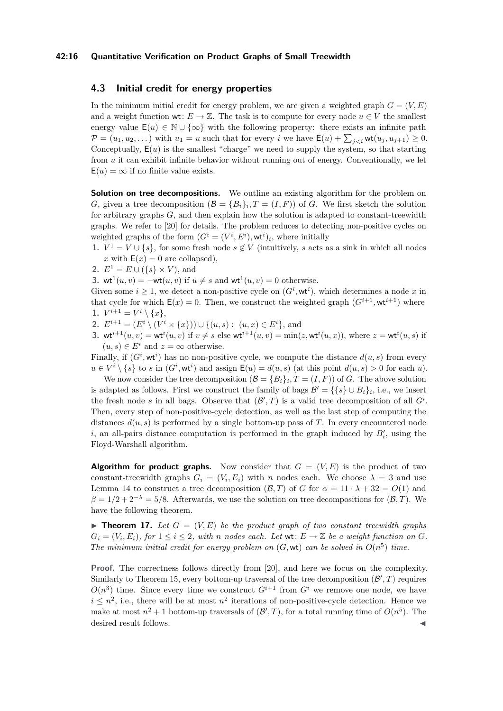#### **42:16 Quantitative Verification on Product Graphs of Small Treewidth**

## **4.3 Initial credit for energy properties**

In the minimum initial credit for energy problem, we are given a weighted graph  $G = (V, E)$ and a weight function wt:  $E \to \mathbb{Z}$ . The task is to compute for every node  $u \in V$  the smallest energy value  $E(u) \in \mathbb{N} \cup \{\infty\}$  with the following property: there exists an infinite path  $\mathcal{P} = (u_1, u_2, \dots)$  with  $u_1 = u$  such that for every *i* we have  $\mathsf{E}(u) + \sum_{j \leq i} \mathsf{wt}(u_j, u_{j+1}) \geq 0$ . Conceptually,  $E(u)$  is the smallest "charge" we need to supply the system, so that starting from *u* it can exhibit infinite behavior without running out of energy. Conventionally, we let  $E(u) = \infty$  if no finite value exists.

**Solution on tree decompositions.** We outline an existing algorithm for the problem on *G*, given a tree decomposition  $(B = {B_i}_i, T = (I, F))$  of *G*. We first sketch the solution for arbitrary graphs *G*, and then explain how the solution is adapted to constant-treewidth graphs. We refer to [\[20\]](#page-17-16) for details. The problem reduces to detecting non-positive cycles on weighted graphs of the form  $(G^i = (V^i, E^i), \text{wt}^i)_i$ , where initially

- **1.**  $V^1 = V \cup \{s\}$ , for some fresh node  $s \notin V$  (intuitively, *s* acts as a sink in which all nodes *x* with  $E(x) = 0$  are collapsed),
- **2.**  $E^1 = E \cup (\{s\} \times V)$ , and

**3.** wt<sup>1</sup> $(u, v) = -wt(u, v)$  if  $u \neq s$  and wt<sup>1</sup> $(u, v) = 0$  otherwise.

Given some  $i \geq 1$ , we detect a non-positive cycle on  $(G^i, \mathbf{wt}^i)$ , which determines a node x in that cycle for which  $E(x) = 0$ . Then, we construct the weighted graph  $(G^{i+1}, \mathbf{wt}^{i+1})$  where **1.**  $V^{i+1} = V^i \setminus \{x\},\$ 

- **2.**  $E^{i+1} = (E^i \setminus (V^i \times \{x\})) \cup \{(u, s): (u, x) \in E^i\}$ , and
- **3.** wt<sup>*i*+1</sup>(*u, v*) = wt<sup>*i*</sup>(*u, v*) if  $v \neq s$  else wt<sup>*i*+1</sup>(*u, v*) = min(*z,* wt<sup>*i*</sup>(*u,x*)), where  $z = \text{wt}$ <sup>*i*</sup>(*u, s*) if  $(u, s) \in E^i$  and  $z = \infty$  otherwise.

Finally, if  $(G^i, \mathsf{wt}^i)$  has no non-positive cycle, we compute the distance  $d(u, s)$  from every  $u \in V^i \setminus \{s\}$  to *s* in  $(G^i, \text{wt}^i)$  and assign  $\mathsf{E}(u) = d(u, s)$  (at this point  $d(u, s) > 0$  for each *u*).

We now consider the tree decomposition  $(B = {B_i}_i, T = (I, F))$  of *G*. The above solution is adapted as follows. First we construct the family of bags  $\mathcal{B}' = \{\{s\} \cup B_i\}_i$ , i.e., we insert the fresh node *s* in all bags. Observe that  $(\mathcal{B}', T)$  is a valid tree decomposition of all  $G^i$ . Then, every step of non-positive-cycle detection, as well as the last step of computing the distances  $d(u, s)$  is performed by a single bottom-up pass of *T*. In every encountered node *i*, an all-pairs distance computation is performed in the graph induced by  $B'_{i}$ , using the Floyd-Warshall algorithm.

**Algorithm for product graphs.** Now consider that  $G = (V, E)$  is the product of two constant-treewidth graphs  $G_i = (V_i, E_i)$  with *n* nodes each. We choose  $\lambda = 3$  and use Lemma [14](#page-12-0) to construct a tree decomposition  $(B,T)$  of *G* for  $\alpha = 11 \cdot \lambda + 32 = O(1)$  and  $\beta = 1/2 + 2^{-\lambda} = 5/8$ . Afterwards, we use the solution on tree decompositions for  $(\beta, T)$ . We have the following theorem.

<span id="page-15-0"></span> $\blacktriangleright$  **Theorem 17.** Let  $G = (V, E)$  be the product graph of two constant treewidth graphs  $G_i = (V_i, E_i)$ , for  $1 \leq i \leq 2$ , with *n* nodes each. Let  $wt: E \to \mathbb{Z}$  be a weight function on  $G$ . *The minimum initial credit for energy problem on*  $(G, \text{wt})$  *can be solved in*  $O(n^5)$  *time.* 

**Proof.** The correctness follows directly from [\[20\]](#page-17-16), and here we focus on the complexity. Similarly to Theorem [15,](#page-13-0) every bottom-up traversal of the tree decomposition  $(\mathcal{B}', T)$  requires  $O(n^3)$  time. Since every time we construct  $G^{i+1}$  from  $G^i$  we remove one node, we have  $i \leq n^2$ , i.e., there will be at most  $n^2$  iterations of non-positive-cycle detection. Hence we make at most  $n^2 + 1$  bottom-up traversals of  $(\mathcal{B}', T)$ , for a total running time of  $O(n^5)$ . The desired result follows.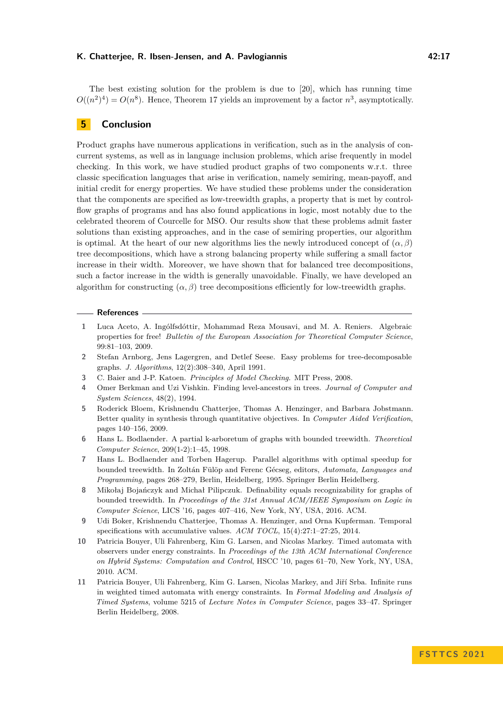The best existing solution for the problem is due to [\[20\]](#page-17-16), which has running time  $O((n^2)^4) = O(n^8)$ . Hence, Theorem [17](#page-15-0) yields an improvement by a factor  $n^3$ , asymptotically.

# **5 Conclusion**

Product graphs have numerous applications in verification, such as in the analysis of concurrent systems, as well as in language inclusion problems, which arise frequently in model checking. In this work, we have studied product graphs of two components w.r.t. three classic specification languages that arise in verification, namely semiring, mean-payoff, and initial credit for energy properties. We have studied these problems under the consideration that the components are specified as low-treewidth graphs, a property that is met by controlflow graphs of programs and has also found applications in logic, most notably due to the celebrated theorem of Courcelle for MSO. Our results show that these problems admit faster solutions than existing approaches, and in the case of semiring properties, our algorithm is optimal. At the heart of our new algorithms lies the newly introduced concept of  $(\alpha, \beta)$ tree decompositions, which have a strong balancing property while suffering a small factor increase in their width. Moreover, we have shown that for balanced tree decompositions, such a factor increase in the width is generally unavoidable. Finally, we have developed an algorithm for constructing  $(\alpha, \beta)$  tree decompositions efficiently for low-treewidth graphs.

#### **References**

- <span id="page-16-2"></span>**1** Luca Aceto, A. Ingólfsdóttir, Mohammad Reza Mousavi, and M. A. Reniers. Algebraic properties for free! *Bulletin of the European Association for Theoretical Computer Science*, 99:81–103, 2009.
- <span id="page-16-0"></span>**2** Stefan Arnborg, Jens Lagergren, and Detlef Seese. Easy problems for tree-decomposable graphs. *J. Algorithms*, 12(2):308–340, April 1991.
- <span id="page-16-3"></span>**3** C. Baier and J-P. Katoen. *Principles of Model Checking*. MIT Press, 2008.
- <span id="page-16-10"></span>**4** Omer Berkman and Uzi Vishkin. Finding level-ancestors in trees. *Journal of Computer and System Sciences*, 48(2), 1994.
- <span id="page-16-5"></span>**5** Roderick Bloem, Krishnendu Chatterjee, Thomas A. Henzinger, and Barbara Jobstmann. Better quality in synthesis through quantitative objectives. In *Computer Aided Verification*, pages 140–156, 2009.
- <span id="page-16-9"></span>**6** Hans L. Bodlaender. A partial k-arboretum of graphs with bounded treewidth. *Theoretical Computer Science*, 209(1-2):1–45, 1998.
- <span id="page-16-8"></span>**7** Hans L. Bodlaender and Torben Hagerup. Parallel algorithms with optimal speedup for bounded treewidth. In Zoltán Fülöp and Ferenc Gécseg, editors, *Automata, Languages and Programming*, pages 268–279, Berlin, Heidelberg, 1995. Springer Berlin Heidelberg.
- <span id="page-16-1"></span>**8** Mikołaj Bojańczyk and Michał Pilipczuk. Definability equals recognizability for graphs of bounded treewidth. In *Proceedings of the 31st Annual ACM/IEEE Symposium on Logic in Computer Science*, LICS '16, pages 407–416, New York, NY, USA, 2016. ACM.
- <span id="page-16-4"></span>**9** Udi Boker, Krishnendu Chatterjee, Thomas A. Henzinger, and Orna Kupferman. Temporal specifications with accumulative values. *ACM TOCL*, 15(4):27:1–27:25, 2014.
- <span id="page-16-7"></span>**10** Patricia Bouyer, Uli Fahrenberg, Kim G. Larsen, and Nicolas Markey. Timed automata with observers under energy constraints. In *Proceedings of the 13th ACM International Conference on Hybrid Systems: Computation and Control*, HSCC '10, pages 61–70, New York, NY, USA, 2010. ACM.
- <span id="page-16-6"></span>**11** Patricia Bouyer, Uli Fahrenberg, Kim G. Larsen, Nicolas Markey, and Jiří Srba. Infinite runs in weighted timed automata with energy constraints. In *Formal Modeling and Analysis of Timed Systems*, volume 5215 of *Lecture Notes in Computer Science*, pages 33–47. Springer Berlin Heidelberg, 2008.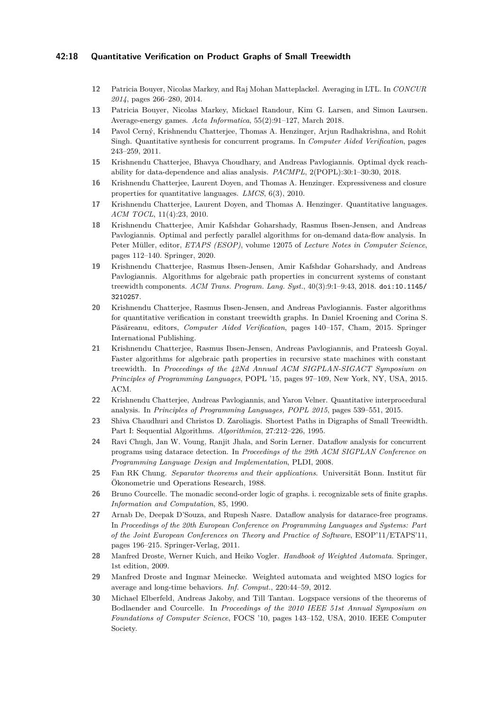## **42:18 Quantitative Verification on Product Graphs of Small Treewidth**

- <span id="page-17-11"></span>**12** Patricia Bouyer, Nicolas Markey, and Raj Mohan Matteplackel. Averaging in LTL. In *CONCUR 2014*, pages 266–280, 2014.
- <span id="page-17-15"></span>**13** Patricia Bouyer, Nicolas Markey, Mickael Randour, Kim G. Larsen, and Simon Laursen. Average-energy games. *Acta Informatica*, 55(2):91–127, March 2018.
- <span id="page-17-13"></span>**14** Pavol Cerný, Krishnendu Chatterjee, Thomas A. Henzinger, Arjun Radhakrishna, and Rohit Singh. Quantitative synthesis for concurrent programs. In *Computer Aided Verification*, pages 243–259, 2011.
- <span id="page-17-1"></span>**15** Krishnendu Chatterjee, Bhavya Choudhary, and Andreas Pavlogiannis. Optimal dyck reachability for data-dependence and alias analysis. *PACMPL*, 2(POPL):30:1–30:30, 2018.
- <span id="page-17-10"></span>**16** Krishnendu Chatterjee, Laurent Doyen, and Thomas A. Henzinger. Expressiveness and closure properties for quantitative languages. *LMCS*, 6(3), 2010.
- <span id="page-17-9"></span>**17** Krishnendu Chatterjee, Laurent Doyen, and Thomas A. Henzinger. Quantitative languages. *ACM TOCL*, 11(4):23, 2010.
- <span id="page-17-2"></span>**18** Krishnendu Chatterjee, Amir Kafshdar Goharshady, Rasmus Ibsen-Jensen, and Andreas Pavlogiannis. Optimal and perfectly parallel algorithms for on-demand data-flow analysis. In Peter Müller, editor, *ETAPS (ESOP)*, volume 12075 of *Lecture Notes in Computer Science*, pages 112–140. Springer, 2020.
- <span id="page-17-8"></span>**19** Krishnendu Chatterjee, Rasmus Ibsen-Jensen, Amir Kafshdar Goharshady, and Andreas Pavlogiannis. Algorithms for algebraic path properties in concurrent systems of constant treewidth components. *ACM Trans. Program. Lang. Syst.*, 40(3):9:1–9:43, 2018. [doi:10.1145/](https://doi.org/10.1145/3210257) [3210257](https://doi.org/10.1145/3210257).
- <span id="page-17-16"></span>**20** Krishnendu Chatterjee, Rasmus Ibsen-Jensen, and Andreas Pavlogiannis. Faster algorithms for quantitative verification in constant treewidth graphs. In Daniel Kroening and Corina S. Păsăreanu, editors, *Computer Aided Verification*, pages 140–157, Cham, 2015. Springer International Publishing.
- <span id="page-17-0"></span>**21** Krishnendu Chatterjee, Rasmus Ibsen-Jensen, Andreas Pavlogiannis, and Prateesh Goyal. Faster algorithms for algebraic path properties in recursive state machines with constant treewidth. In *Proceedings of the 42Nd Annual ACM SIGPLAN-SIGACT Symposium on Principles of Programming Languages*, POPL '15, pages 97–109, New York, NY, USA, 2015. ACM.
- <span id="page-17-14"></span>**22** Krishnendu Chatterjee, Andreas Pavlogiannis, and Yaron Velner. Quantitative interprocedural analysis. In *Principles of Programming Languages, POPL 2015*, pages 539–551, 2015.
- <span id="page-17-18"></span>**23** Shiva Chaudhuri and Christos D. Zaroliagis. Shortest Paths in Digraphs of Small Treewidth. Part I: Sequential Algorithms. *Algorithmica*, 27:212–226, 1995.
- <span id="page-17-6"></span>**24** Ravi Chugh, Jan W. Voung, Ranjit Jhala, and Sorin Lerner. Dataflow analysis for concurrent programs using datarace detection. In *Proceedings of the 29th ACM SIGPLAN Conference on Programming Language Design and Implementation*, PLDI, 2008.
- <span id="page-17-17"></span>**25** Fan RK Chung. *Separator theorems and their applications*. Universität Bonn. Institut für Ökonometrie und Operations Research, 1988.
- <span id="page-17-3"></span>**26** Bruno Courcelle. The monadic second-order logic of graphs. i. recognizable sets of finite graphs. *Information and Computation*, 85, 1990.
- <span id="page-17-7"></span>**27** Arnab De, Deepak D'Souza, and Rupesh Nasre. Dataflow analysis for datarace-free programs. In *Proceedings of the 20th European Conference on Programming Languages and Systems: Part of the Joint European Conferences on Theory and Practice of Software*, ESOP'11/ETAPS'11, pages 196–215. Springer-Verlag, 2011.
- <span id="page-17-5"></span>**28** Manfred Droste, Werner Kuich, and Heiko Vogler. *Handbook of Weighted Automata*. Springer, 1st edition, 2009.
- <span id="page-17-12"></span>**29** Manfred Droste and Ingmar Meinecke. Weighted automata and weighted MSO logics for average and long-time behaviors. *Inf. Comput.*, 220:44–59, 2012.
- <span id="page-17-4"></span>**30** Michael Elberfeld, Andreas Jakoby, and Till Tantau. Logspace versions of the theorems of Bodlaender and Courcelle. In *Proceedings of the 2010 IEEE 51st Annual Symposium on Foundations of Computer Science*, FOCS '10, pages 143–152, USA, 2010. IEEE Computer Society.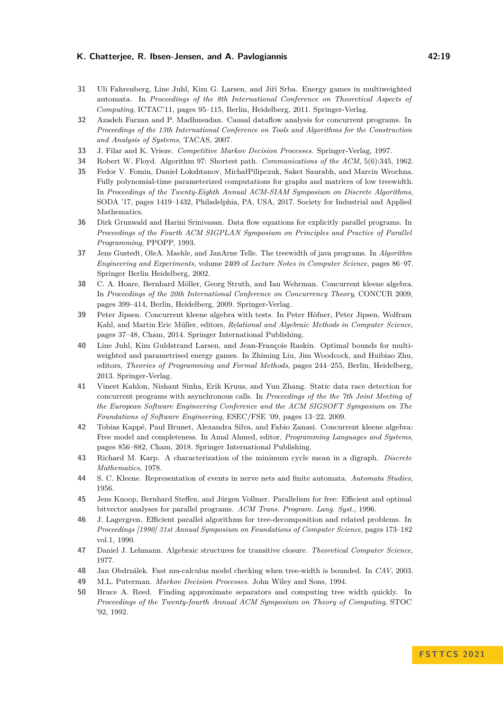- <span id="page-18-11"></span>**31** Uli Fahrenberg, Line Juhl, Kim G. Larsen, and Jiří Srba. Energy games in multiweighted automata. In *Proceedings of the 8th International Conference on Theoretical Aspects of Computing*, ICTAC'11, pages 95–115, Berlin, Heidelberg, 2011. Springer-Verlag.
- <span id="page-18-4"></span>**32** Azadeh Farzan and P. Madhusudan. Causal dataflow analysis for concurrent programs. In *Proceedings of the 13th International Conference on Tools and Algorithms for the Construction and Analysis of Systems*, TACAS, 2007.
- <span id="page-18-9"></span>**33** J. Filar and K. Vrieze. *Competitive Markov Decision Processes*. Springer-Verlag, 1997.
- <span id="page-18-18"></span>**34** Robert W. Floyd. Algorithm 97: Shortest path. *Communications of the ACM*, 5(6):345, 1962.
- <span id="page-18-15"></span>**35** Fedor V. Fomin, Daniel Lokshtanov, MichałPilipczuk, Saket Saurabh, and Marcin Wrochna. Fully polynomial-time parameterized computations for graphs and matrices of low treewidth. In *Proceedings of the Twenty-Eighth Annual ACM-SIAM Symposium on Discrete Algorithms*, SODA '17, pages 1419–1432, Philadelphia, PA, USA, 2017. Society for Industrial and Applied Mathematics.
- <span id="page-18-2"></span>**36** Dirk Grunwald and Harini Srinivasan. Data flow equations for explicitly parallel programs. In *Proceedings of the Fourth ACM SIGPLAN Symposium on Principles and Practice of Parallel Programming*, PPOPP, 1993.
- <span id="page-18-0"></span>**37** Jens Gustedt, OleA. Maehle, and JanArne Telle. The treewidth of java programs. In *Algorithm Engineering and Experiments*, volume 2409 of *Lecture Notes in Computer Science*, pages 86–97. Springer Berlin Heidelberg, 2002.
- <span id="page-18-6"></span>**38** C. A. Hoare, Bernhard Möller, Georg Struth, and Ian Wehrman. Concurrent kleene algebra. In *Proceedings of the 20th International Conference on Concurrency Theory*, CONCUR 2009, pages 399–414, Berlin, Heidelberg, 2009. Springer-Verlag.
- <span id="page-18-7"></span>**39** Peter Jipsen. Concurrent kleene algebra with tests. In Peter Höfner, Peter Jipsen, Wolfram Kahl, and Martin Eric Müller, editors, *Relational and Algebraic Methods in Computer Science*, pages 37–48, Cham, 2014. Springer International Publishing.
- <span id="page-18-12"></span>**40** Line Juhl, Kim Guldstrand Larsen, and Jean-François Raskin. Optimal bounds for multiweighted and parametrised energy games. In Zhiming Liu, Jim Woodcock, and Huibiao Zhu, editors, *Theories of Programming and Formal Methods*, pages 244–255, Berlin, Heidelberg, 2013. Springer-Verlag.
- <span id="page-18-5"></span>**41** Vineet Kahlon, Nishant Sinha, Erik Kruus, and Yun Zhang. Static data race detection for concurrent programs with asynchronous calls. In *Proceedings of the the 7th Joint Meeting of the European Software Engineering Conference and the ACM SIGSOFT Symposium on The Foundations of Software Engineering*, ESEC/FSE '09, pages 13–22, 2009.
- <span id="page-18-8"></span>**42** Tobias Kappé, Paul Brunet, Alexandra Silva, and Fabio Zanasi. Concurrent kleene algebra: Free model and completeness. In Amal Ahmed, editor, *Programming Languages and Systems*, pages 856–882, Cham, 2018. Springer International Publishing.
- <span id="page-18-16"></span>**43** Richard M. Karp. A characterization of the minimum cycle mean in a digraph. *Discrete Mathematics*, 1978.
- <span id="page-18-19"></span>**44** S. C. Kleene. Representation of events in nerve nets and finite automata. *Automata Studies*, 1956.
- <span id="page-18-3"></span>**45** Jens Knoop, Bernhard Steffen, and Jürgen Vollmer. Parallelism for free: Efficient and optimal bitvector analyses for parallel programs. *ACM Trans. Program. Lang. Syst.*, 1996.
- <span id="page-18-14"></span>**46** J. Lagergren. Efficient parallel algorithms for tree-decomposition and related problems. In *Proceedings [1990] 31st Annual Symposium on Foundations of Computer Science*, pages 173–182 vol.1, 1990.
- <span id="page-18-17"></span>**47** Daniel J. Lehmann. Algebraic structures for transitive closure. *Theoretical Computer Science*, 1977.
- <span id="page-18-1"></span>**48** Jan Obdrzálek. Fast mu-calculus model checking when tree-width is bounded. In *CAV*, 2003.
- <span id="page-18-10"></span>**49** M.L. Puterman. *Markov Decision Processes*. John Wiley and Sons, 1994.
- <span id="page-18-13"></span>**50** Bruce A. Reed. Finding approximate separators and computing tree width quickly. In *Proceedings of the Twenty-fourth Annual ACM Symposium on Theory of Computing*, STOC '92, 1992.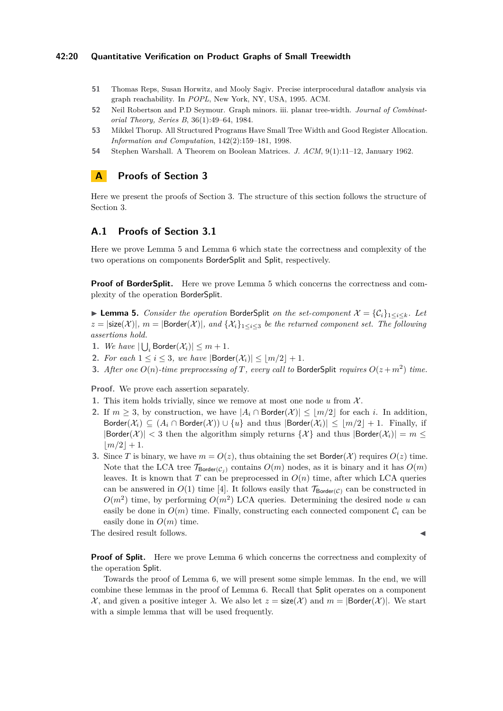### **42:20 Quantitative Verification on Product Graphs of Small Treewidth**

- <span id="page-19-2"></span>**51** Thomas Reps, Susan Horwitz, and Mooly Sagiv. Precise interprocedural dataflow analysis via graph reachability. In *POPL*, New York, NY, USA, 1995. ACM.
- <span id="page-19-0"></span>**52** Neil Robertson and P.D Seymour. Graph minors. iii. planar tree-width. *Journal of Combinatorial Theory, Series B*, 36(1):49–64, 1984.
- <span id="page-19-1"></span>**53** Mikkel Thorup. All Structured Programs Have Small Tree Width and Good Register Allocation. *Information and Computation*, 142(2):159–181, 1998.
- <span id="page-19-3"></span>**54** Stephen Warshall. A Theorem on Boolean Matrices. *J. ACM*, 9(1):11–12, January 1962.

# **A Proofs of Section [3](#page-5-2)**

Here we present the proofs of Section [3.](#page-5-2) The structure of this section follows the structure of Section [3.](#page-5-2)

# **A.1 Proofs of Section [3.1](#page-6-0)**

Here we prove Lemma [5](#page-6-1) and Lemma [6](#page-7-0) which state the correctness and complexity of the two operations on components BorderSplit and Split, respectively.

**Proof of BorderSplit.** Here we prove Lemma [5](#page-6-1) which concerns the correctness and complexity of the operation BorderSplit.

▶ **Lemma 5.** *Consider the operation* BorderSplit *on the set-component*  $\mathcal{X} = \{C_i\}_{1 \leq i \leq k}$ *. Let*  $z = |\text{size}(\mathcal{X})|$ ,  $m = |\text{Border}(\mathcal{X})|$ , and  $\{\mathcal{X}_i\}_{1 \leq i \leq 3}$  be the returned component set. The following *assertions hold.*

- **1.** *We have*  $|\bigcup_i$  Border $(\mathcal{X}_i)| \leq m + 1$ *.*
- **2.** *For each*  $1 \leq i \leq 3$ *, we have*  $|\text{Border}(\mathcal{X}_i)| \leq |m/2| + 1$ *.*
- **3.** After one  $O(n)$ -time preprocessing of *T*, every call to BorderSplit requires  $O(z + m^2)$  time.

**Proof.** We prove each assertion separately.

- **1.** This item holds trivially, since we remove at most one node  $u$  from  $\mathcal{X}$ .
- **2.** If  $m \geq 3$ , by construction, we have  $|A_i \cap \text{Border}(\mathcal{X})| \leq |m/2|$  for each *i*. In addition, Border( $\mathcal{X}_i$ )  $\subseteq$  ( $A_i \cap \text{Border}(\mathcal{X})$ )  $\cup \{u\}$  and thus  $|\text{Border}(\mathcal{X}_i)| \leq |m/2| + 1$ . Finally, if  $|\text{Border}(\mathcal{X})| < 3$  then the algorithm simply returns  $\{\mathcal{X}\}\$  and thus  $|\text{Border}(\mathcal{X}_i)| = m \leq 3$  $|m/2| + 1.$
- **3.** Since *T* is binary, we have  $m = O(z)$ , thus obtaining the set Border(X) requires  $O(z)$  time. Note that the LCA tree  $\mathcal{T}_{\text{Border}(\mathcal{C}_i)}$  contains  $O(m)$  nodes, as it is binary and it has  $O(m)$ leaves. It is known that  $T$  can be preprocessed in  $O(n)$  time, after which LCA queries can be answered in  $O(1)$  time [\[4\]](#page-16-10). It follows easily that  $\mathcal{T}_{\text{Border}(\mathcal{C})}$  can be constructed in  $O(m^2)$  time, by performing  $O(m^2)$  LCA queries. Determining the desired node *u* can easily be done in  $O(m)$  time. Finally, constructing each connected component  $\mathcal{C}_i$  can be easily done in  $O(m)$  time.

The desired result follows.

**Proof of Split.** Here we prove Lemma [6](#page-7-0) which concerns the correctness and complexity of the operation Split.

<span id="page-19-4"></span>Towards the proof of Lemma [6,](#page-7-0) we will present some simple lemmas. In the end, we will combine these lemmas in the proof of Lemma [6.](#page-7-0) Recall that Split operates on a component *X*, and given a positive integer *λ*. We also let  $z = \text{size}(\mathcal{X})$  and  $m = |\text{Border}(\mathcal{X})|$ . We start with a simple lemma that will be used frequently.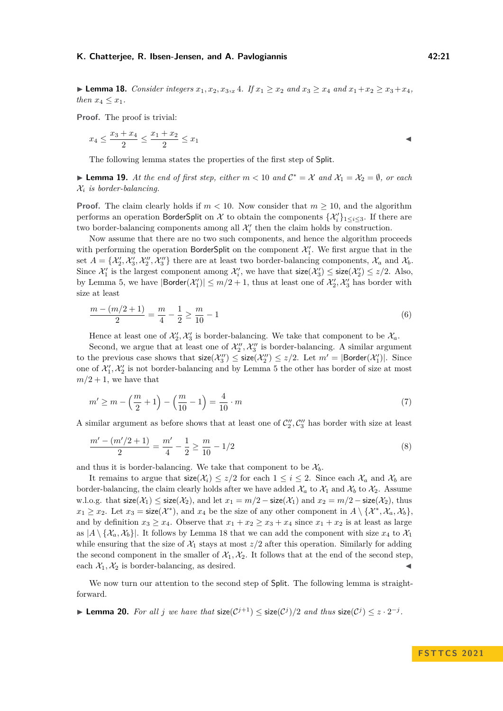▶ **Lemma 18.** *Consider integers*  $x_1, x_2, x_3, x_4$ *. If*  $x_1 \ge x_2$  *and*  $x_3 \ge x_4$  *and*  $x_1 + x_2 \ge x_3 + x_4$ *, then*  $x_4 \leq x_1$ *.* 

**Proof.** The proof is trivial:

$$
x_4 \le \frac{x_3 + x_4}{2} \le \frac{x_1 + x_2}{2} \le x_1
$$

The following lemma states the properties of the first step of Split.

<span id="page-20-0"></span>▶ **Lemma 19.** At the end of first step, either  $m < 10$  and  $C^* = X$  and  $X_1 = X_2 = \emptyset$ , or each X*<sup>i</sup> is border-balancing.*

**Proof.** The claim clearly holds if  $m < 10$ . Now consider that  $m \geq 10$ , and the algorithm performs an operation BorderSplit on  $\mathcal X$  to obtain the components  $\{\mathcal X_i'\}_{1\leq i\leq 3}$ . If there are two border-balancing components among all  $\mathcal{X}'_i$  then the claim holds by construction.

Now assume that there are no two such components, and hence the algorithm proceeds with performing the operation BorderSplit on the component  $\mathcal{X}'_1$ . We first argue that in the set  $A = \{\mathcal{X}'_2, \mathcal{X}'_3, \mathcal{X}''_2, \mathcal{X}''_3\}$  there are at least two border-balancing components,  $\mathcal{X}_a$  and  $\mathcal{X}_b$ . Since  $\mathcal{X}'_1$  is the largest component among  $\mathcal{X}'_i$ , we have that  $\mathsf{size}(\mathcal{X}'_3) \leq \mathsf{size}(\mathcal{X}'_2) \leq z/2$ . Also, by Lemma [5,](#page-6-1) we have  $|\text{Border}(\mathcal{X}'_1)| \leq m/2 + 1$ , thus at least one of  $\mathcal{X}'_2$ ,  $\mathcal{X}'_3$  has border with size at least

$$
\frac{m - (m/2 + 1)}{2} = \frac{m}{4} - \frac{1}{2} \ge \frac{m}{10} - 1\tag{6}
$$

Hence at least one of  $\mathcal{X}'_2$ ,  $\mathcal{X}'_3$  is border-balancing. We take that component to be  $\mathcal{X}_a$ .

Second, we argue that at least one of  $\mathcal{X}_2'', \mathcal{X}_3''$  is border-balancing. A similar argument to the previous case shows that  $\mathsf{size}(\mathcal{X}_3'') \leq \mathsf{size}(\mathcal{X}_2'') \leq z/2$ . Let  $m' = |\mathsf{Border}(\mathcal{X}_1')|$ . Since one of  $\mathcal{X}'_1, \mathcal{X}'_2$  is not border-balancing and by Lemma [5](#page-6-1) the other has border of size at most  $m/2 + 1$ , we have that

$$
m' \ge m - \left(\frac{m}{2} + 1\right) - \left(\frac{m}{10} - 1\right) = \frac{4}{10} \cdot m \tag{7}
$$

A similar argument as before shows that at least one of  $C''_2, C''_3$  has border with size at least

$$
\frac{m' - (m'/2 + 1)}{2} = \frac{m'}{4} - \frac{1}{2} \ge \frac{m}{10} - 1/2\tag{8}
$$

and thus it is border-balancing. We take that component to be  $\mathcal{X}_b$ .

It remains to argue that  $size(\mathcal{X}_i) \leq z/2$  for each  $1 \leq i \leq 2$ . Since each  $\mathcal{X}_a$  and  $\mathcal{X}_b$  are border-balancing, the claim clearly holds after we have added  $\mathcal{X}_a$  to  $\mathcal{X}_1$  and  $\mathcal{X}_b$  to  $\mathcal{X}_2$ . Assume w.l.o.g. that  $\text{size}(\mathcal{X}_1) \leq \text{size}(\mathcal{X}_2)$ , and let  $x_1 = m/2 - \text{size}(\mathcal{X}_1)$  and  $x_2 = m/2 - \text{size}(\mathcal{X}_2)$ , thus  $x_1 \geq x_2$ . Let  $x_3 = \text{size}(\mathcal{X}^*)$ , and  $x_4$  be the size of any other component in  $A \setminus {\mathcal{X}^*}, \mathcal{X}_a, \mathcal{X}_b$ , and by definition  $x_3 \ge x_4$ . Observe that  $x_1 + x_2 \ge x_3 + x_4$  since  $x_1 + x_2$  is at least as large as  $|A \setminus \{X_a, X_b\}|$ . It follows by Lemma [18](#page-19-4) that we can add the component with size  $x_4$  to  $\mathcal{X}_1$ while ensuring that the size of  $\mathcal{X}_1$  stays at most  $z/2$  after this operation. Similarly for adding the second component in the smaller of  $\mathcal{X}_1, \mathcal{X}_2$ . It follows that at the end of the second step, each  $\mathcal{X}_1, \mathcal{X}_2$  is border-balancing, as desired.

We now turn our attention to the second step of Split. The following lemma is straightforward.

<span id="page-20-1"></span>▶ **Lemma 20.** For all *j* we have that  $\text{size}(\mathcal{C}^{j+1}) \leq \text{size}(\mathcal{C}^{j})/2$  and thus  $\text{size}(\mathcal{C}^{j}) \leq z \cdot 2^{-j}$ .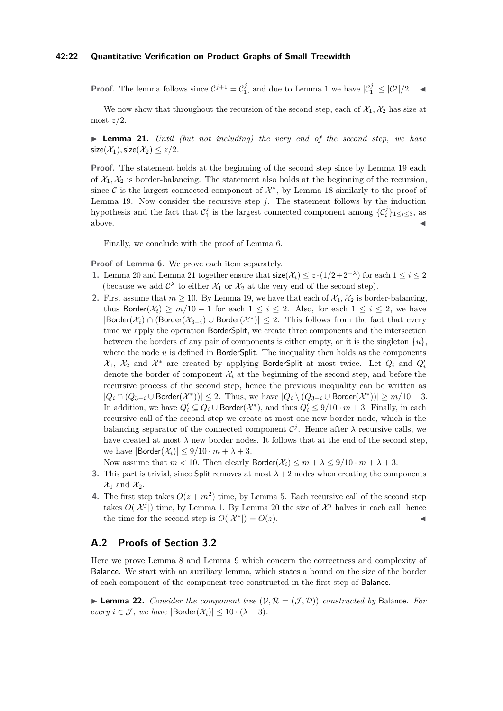#### **42:22 Quantitative Verification on Product Graphs of Small Treewidth**

**Proof.** The lemma follows since  $C^{j+1} = C_1^j$ , and due to Lemma [1](#page-4-2) we have  $|C_1^j| \leq |C^j|/2$ .

We now show that throughout the recursion of the second step, each of  $\mathcal{X}_1, \mathcal{X}_2$  has size at most *z/*2.

<span id="page-21-0"></span>▶ **Lemma 21.** *Until (but not including) the very end of the second step, we have*  $size(X_1), size(X_2) \leq z/2.$ 

**Proof.** The statement holds at the beginning of the second step since by Lemma [19](#page-20-0) each of  $X_1, X_2$  is border-balancing. The statement also holds at the beginning of the recursion, since  $\mathcal C$  is the largest connected component of  $\mathcal X^*$ , by Lemma [18](#page-19-4) similarly to the proof of Lemma [19.](#page-20-0) Now consider the recursive step *j*. The statement follows by the induction hypothesis and the fact that  $C_1^j$  is the largest connected component among  ${C_i^j}_{1 \le i \le 3}$ , as  $\blacksquare$  above.

Finally, we conclude with the proof of Lemma [6.](#page-7-0)

**Proof of Lemma [6.](#page-7-0)** We prove each item separately.

- 1. Lemma [20](#page-20-1) and Lemma [21](#page-21-0) together ensure that  $\text{size}(\mathcal{X}_i) \leq z \cdot (1/2 + 2^{-\lambda})$  for each  $1 \leq i \leq 2$ (because we add  $C^{\lambda}$  to either  $\mathcal{X}_1$  or  $\mathcal{X}_2$  at the very end of the second step).
- **2.** First assume that  $m \ge 10$ . By Lemma [19,](#page-20-0) we have that each of  $\mathcal{X}_1, \mathcal{X}_2$  is border-balancing, thus Border( $\mathcal{X}_i$ ) ≥  $m/10 - 1$  for each  $1 \leq i \leq 2$ . Also, for each  $1 \leq i \leq 2$ , we have  $|\mathsf{Border}(\mathcal{X}_i) \cap (\mathsf{Border}(\mathcal{X}_{3-i}) \cup \mathsf{Border}(\mathcal{X}^*)| \leq 2.$  This follows from the fact that every time we apply the operation BorderSplit, we create three components and the intersection between the borders of any pair of components is either empty, or it is the singleton  $\{u\}$ , where the node *u* is defined in BorderSplit. The inequality then holds as the components  $\mathcal{X}_1$ ,  $\mathcal{X}_2$  and  $\mathcal{X}^*$  are created by applying BorderSplit at most twice. Let  $Q_i$  and  $Q'_i$ denote the border of component  $\mathcal{X}_i$  at the beginning of the second step, and before the recursive process of the second step, hence the previous inequality can be written as  $|Q_i \cap (Q_{3-i} \cup \text{Border}(\mathcal{X}^*))|$  ≤ 2. Thus, we have  $|Q_i \setminus (Q_{3-i} \cup \text{Border}(\mathcal{X}^*))|$  ≥  $m/10-3$ . In addition, we have  $Q'_i \subseteq Q_i \cup \text{Border}(\mathcal{X}^*)$ , and thus  $Q'_i \leq 9/10 \cdot m + 3$ . Finally, in each recursive call of the second step we create at most one new border node, which is the balancing separator of the connected component  $\mathcal{C}^j$ . Hence after  $\lambda$  recursive calls, we have created at most  $\lambda$  new border nodes. It follows that at the end of the second step, we have  $|\text{Border}(\mathcal{X}_i)| \leq 9/10 \cdot m + \lambda + 3$ .

Now assume that  $m < 10$ . Then clearly  $\text{Border}(\mathcal{X}_i) \leq m + \lambda \leq 9/10 \cdot m + \lambda + 3$ .

- **3.** This part is trivial, since Split removes at most  $\lambda + 2$  nodes when creating the components  $\mathcal{X}_1$  and  $\mathcal{X}_2$ .
- **4.** The first step takes  $O(z + m^2)$  time, by Lemma [5.](#page-6-1) Each recursive call of the second step takes  $O(|\mathcal{X}^j|)$  time, by Lemma [1.](#page-4-2) By Lemma [20](#page-20-1) the size of  $\mathcal{X}^j$  halves in each call, hence the time for the second step is  $O(|\mathcal{X}^*|) = O(z)$ .

## **A.2 Proofs of Section [3.2](#page-8-0)**

Here we prove Lemma [8](#page-8-3) and Lemma [9](#page-8-4) which concern the correctness and complexity of Balance. We start with an auxiliary lemma, which states a bound on the size of the border of each component of the component tree constructed in the first step of Balance.

<span id="page-21-1"></span> $\blacktriangleright$  **Lemma 22.** *Consider the component tree*  $(\mathcal{V}, \mathcal{R} = (\mathcal{J}, \mathcal{D}))$  *constructed by* Balance. For *every*  $i \in \mathcal{J}$ *, we have*  $|\text{Border}(\mathcal{X}_i)| \leq 10 \cdot (\lambda + 3)$ *.*